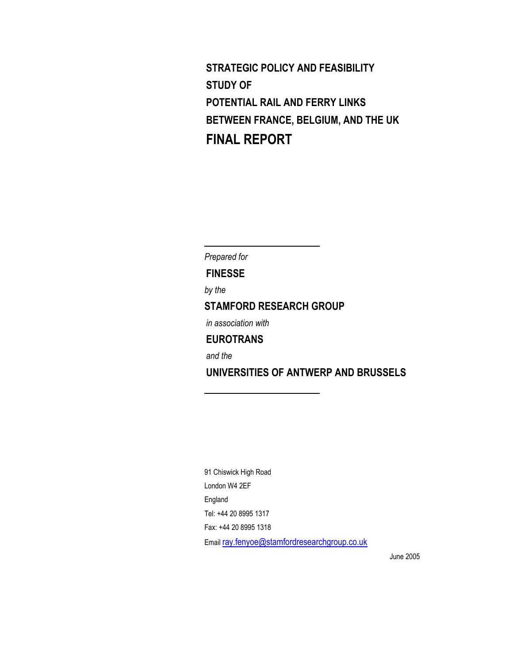**STRATEGIC POLICY AND FEASIBILITY STUDY OF POTENTIAL RAIL AND FERRY LINKS BETWEEN FRANCE, BELGIUM, AND THE UK FINAL REPORT** 

*Prepared for*  **FINESSE**  *by the*  **STAMFORD RESEARCH GROUP**  *in association with*  **EUROTRANS**  *and the*   **UNIVERSITIES OF ANTWERP AND BRUSSELS**  l,

 $\overline{a}$ 

91 Chiswick High Road London W4 2EF England Tel: +44 20 8995 1317 Fax: +44 20 8995 1318 Email ray.fenyoe@stamfordresearchgroup.co.uk

June 2005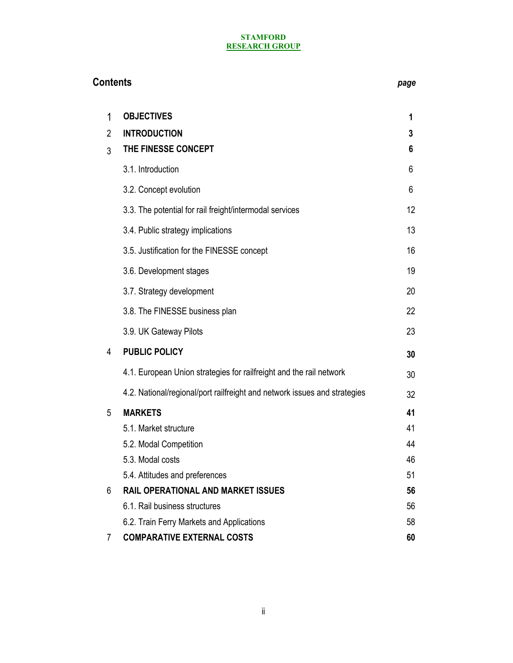| <b>Contents</b> |                                                                           |    |
|-----------------|---------------------------------------------------------------------------|----|
| 1               | <b>OBJECTIVES</b>                                                         | 1  |
| $\overline{2}$  | <b>INTRODUCTION</b>                                                       | 3  |
| 3               | THE FINESSE CONCEPT                                                       | 6  |
|                 | 3.1. Introduction                                                         | 6  |
|                 | 3.2. Concept evolution                                                    | 6  |
|                 | 3.3. The potential for rail freight/intermodal services                   | 12 |
|                 | 3.4. Public strategy implications                                         | 13 |
|                 | 3.5. Justification for the FINESSE concept                                | 16 |
|                 | 3.6. Development stages                                                   | 19 |
|                 | 3.7. Strategy development                                                 | 20 |
|                 | 3.8. The FINESSE business plan                                            | 22 |
|                 | 3.9. UK Gateway Pilots                                                    | 23 |
| 4               | <b>PUBLIC POLICY</b>                                                      | 30 |
|                 | 4.1. European Union strategies for railfreight and the rail network       | 30 |
|                 | 4.2. National/regional/port railfreight and network issues and strategies | 32 |
| 5               | <b>MARKETS</b>                                                            | 41 |
|                 | 5.1. Market structure                                                     | 41 |
|                 | 5.2. Modal Competition                                                    | 44 |
|                 | 5.3. Modal costs                                                          | 46 |
|                 | 5.4. Attitudes and preferences                                            | 51 |
| 6               | <b>RAIL OPERATIONAL AND MARKET ISSUES</b>                                 | 56 |
|                 | 6.1. Rail business structures                                             | 56 |
|                 | 6.2. Train Ferry Markets and Applications                                 | 58 |
| 7               | <b>COMPARATIVE EXTERNAL COSTS</b>                                         | 60 |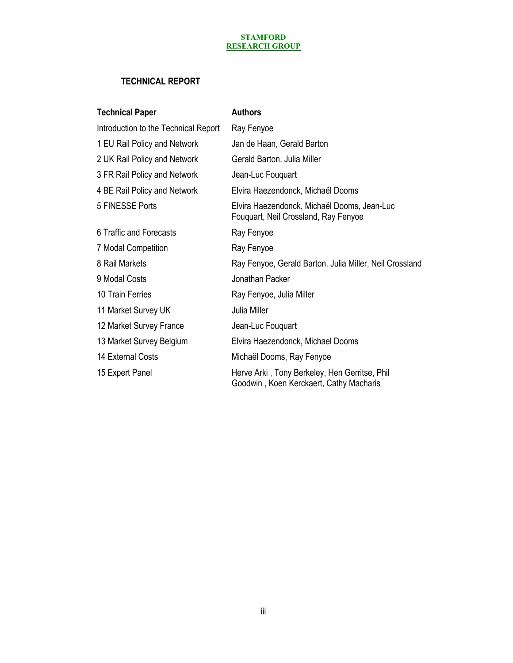# **TECHNICAL REPORT**

| <b>Technical Paper</b>               | <b>Authors</b>                                                                           |
|--------------------------------------|------------------------------------------------------------------------------------------|
| Introduction to the Technical Report | Ray Fenyoe                                                                               |
| 1 EU Rail Policy and Network         | Jan de Haan, Gerald Barton                                                               |
| 2 UK Rail Policy and Network         | Gerald Barton. Julia Miller                                                              |
| 3 FR Rail Policy and Network         | Jean-Luc Fouquart                                                                        |
| 4 BE Rail Policy and Network         | Elvira Haezendonck, Michaël Dooms                                                        |
| 5 FINESSE Ports                      | Elvira Haezendonck, Michaël Dooms, Jean-Luc<br>Fouquart, Neil Crossland, Ray Fenyoe      |
| 6 Traffic and Forecasts              | Ray Fenyoe                                                                               |
| 7 Modal Competition                  | Ray Fenyoe                                                                               |
| 8 Rail Markets                       | Ray Fenyoe, Gerald Barton. Julia Miller, Neil Crossland                                  |
| 9 Modal Costs                        | Jonathan Packer                                                                          |
| 10 Train Ferries                     | Ray Fenyoe, Julia Miller                                                                 |
| 11 Market Survey UK                  | Julia Miller                                                                             |
| 12 Market Survey France              | Jean-Luc Fouquart                                                                        |
| 13 Market Survey Belgium             | Elvira Haezendonck, Michael Dooms                                                        |
| 14 External Costs                    | Michaël Dooms, Ray Fenyoe                                                                |
| 15 Expert Panel                      | Herve Arki, Tony Berkeley, Hen Gerritse, Phil<br>Goodwin, Koen Kerckaert, Cathy Macharis |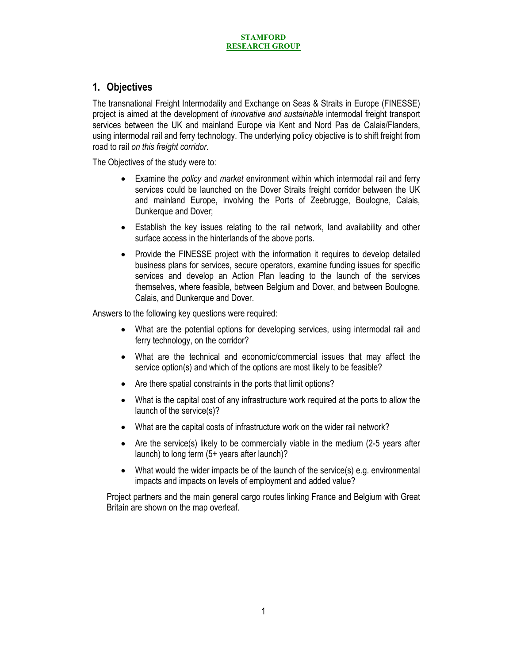# **1. Objectives**

The transnational Freight Intermodality and Exchange on Seas & Straits in Europe (FINESSE) project is aimed at the development of *innovative and sustainable* intermodal freight transport services between the UK and mainland Europe via Kent and Nord Pas de Calais/Flanders, using intermodal rail and ferry technology. The underlying policy objective is to shift freight from road to rail *on this freight corridor*.

The Objectives of the study were to:

- Examine the *policy* and *market* environment within which intermodal rail and ferry services could be launched on the Dover Straits freight corridor between the UK and mainland Europe, involving the Ports of Zeebrugge, Boulogne, Calais, Dunkerque and Dover;
- Establish the key issues relating to the rail network, land availability and other surface access in the hinterlands of the above ports.
- Provide the FINESSE project with the information it requires to develop detailed business plans for services, secure operators, examine funding issues for specific services and develop an Action Plan leading to the launch of the services themselves, where feasible, between Belgium and Dover, and between Boulogne, Calais, and Dunkerque and Dover.

Answers to the following key questions were required:

- What are the potential options for developing services, using intermodal rail and ferry technology, on the corridor?
- What are the technical and economic/commercial issues that may affect the service option(s) and which of the options are most likely to be feasible?
- Are there spatial constraints in the ports that limit options?
- What is the capital cost of any infrastructure work required at the ports to allow the launch of the service(s)?
- What are the capital costs of infrastructure work on the wider rail network?
- Are the service(s) likely to be commercially viable in the medium (2-5 years after launch) to long term (5+ years after launch)?
- What would the wider impacts be of the launch of the service(s) e.g. environmental impacts and impacts on levels of employment and added value?

Project partners and the main general cargo routes linking France and Belgium with Great Britain are shown on the map overleaf.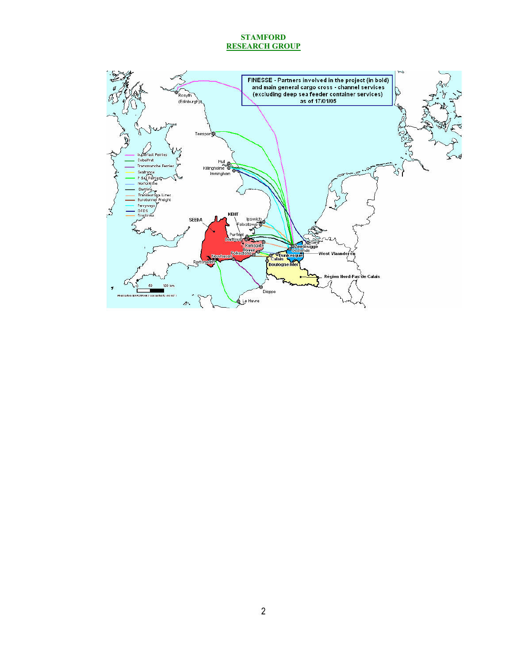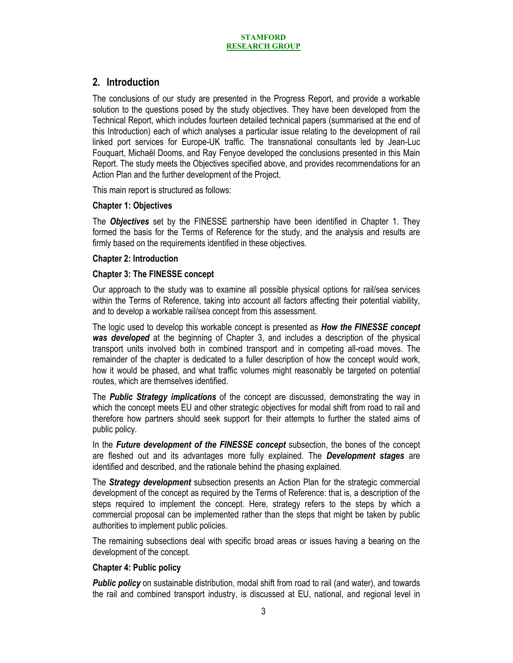# **2. Introduction**

The conclusions of our study are presented in the Progress Report, and provide a workable solution to the questions posed by the study objectives. They have been developed from the Technical Report, which includes fourteen detailed technical papers (summarised at the end of this Introduction) each of which analyses a particular issue relating to the development of rail linked port services for Europe-UK traffic. The transnational consultants led by Jean-Luc Fouquart, Michaël Dooms, and Ray Fenyoe developed the conclusions presented in this Main Report. The study meets the Objectives specified above, and provides recommendations for an Action Plan and the further development of the Project.

This main report is structured as follows:

### **Chapter 1: Objectives**

The *Objectives* set by the FINESSE partnership have been identified in Chapter 1. They formed the basis for the Terms of Reference for the study, and the analysis and results are firmly based on the requirements identified in these objectives.

### **Chapter 2: Introduction**

### **Chapter 3: The FINESSE concept**

Our approach to the study was to examine all possible physical options for rail/sea services within the Terms of Reference, taking into account all factors affecting their potential viability, and to develop a workable rail/sea concept from this assessment.

The logic used to develop this workable concept is presented as *How the FINESSE concept was developed* at the beginning of Chapter 3, and includes a description of the physical transport units involved both in combined transport and in competing all-road moves. The remainder of the chapter is dedicated to a fuller description of how the concept would work, how it would be phased, and what traffic volumes might reasonably be targeted on potential routes, which are themselves identified.

The *Public Strategy implications* of the concept are discussed, demonstrating the way in which the concept meets EU and other strategic objectives for modal shift from road to rail and therefore how partners should seek support for their attempts to further the stated aims of public policy.

In the *Future development of the FINESSE concept* subsection, the bones of the concept are fleshed out and its advantages more fully explained. The *Development stages* are identified and described, and the rationale behind the phasing explained.

The *Strategy development* subsection presents an Action Plan for the strategic commercial development of the concept as required by the Terms of Reference: that is, a description of the steps required to implement the concept. Here, strategy refers to the steps by which a commercial proposal can be implemented rather than the steps that might be taken by public authorities to implement public policies.

The remaining subsections deal with specific broad areas or issues having a bearing on the development of the concept.

### **Chapter 4: Public policy**

*Public policy* on sustainable distribution, modal shift from road to rail (and water), and towards the rail and combined transport industry, is discussed at EU, national, and regional level in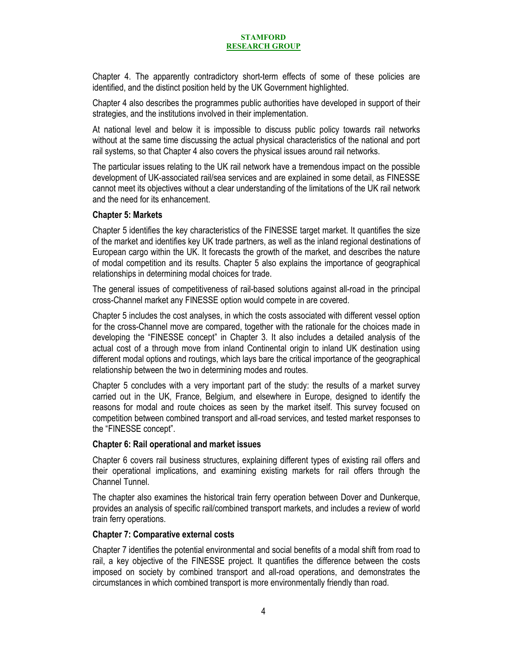Chapter 4. The apparently contradictory short-term effects of some of these policies are identified, and the distinct position held by the UK Government highlighted.

Chapter 4 also describes the programmes public authorities have developed in support of their strategies, and the institutions involved in their implementation.

At national level and below it is impossible to discuss public policy towards rail networks without at the same time discussing the actual physical characteristics of the national and port rail systems, so that Chapter 4 also covers the physical issues around rail networks.

The particular issues relating to the UK rail network have a tremendous impact on the possible development of UK-associated rail/sea services and are explained in some detail, as FINESSE cannot meet its objectives without a clear understanding of the limitations of the UK rail network and the need for its enhancement.

### **Chapter 5: Markets**

Chapter 5 identifies the key characteristics of the FINESSE target market. It quantifies the size of the market and identifies key UK trade partners, as well as the inland regional destinations of European cargo within the UK. It forecasts the growth of the market, and describes the nature of modal competition and its results. Chapter 5 also explains the importance of geographical relationships in determining modal choices for trade.

The general issues of competitiveness of rail-based solutions against all-road in the principal cross-Channel market any FINESSE option would compete in are covered.

Chapter 5 includes the cost analyses, in which the costs associated with different vessel option for the cross-Channel move are compared, together with the rationale for the choices made in developing the "FINESSE concept" in Chapter 3. It also includes a detailed analysis of the actual cost of a through move from inland Continental origin to inland UK destination using different modal options and routings, which lays bare the critical importance of the geographical relationship between the two in determining modes and routes.

Chapter 5 concludes with a very important part of the study: the results of a market survey carried out in the UK, France, Belgium, and elsewhere in Europe, designed to identify the reasons for modal and route choices as seen by the market itself. This survey focused on competition between combined transport and all-road services, and tested market responses to the "FINESSE concept".

### **Chapter 6: Rail operational and market issues**

Chapter 6 covers rail business structures, explaining different types of existing rail offers and their operational implications, and examining existing markets for rail offers through the Channel Tunnel.

The chapter also examines the historical train ferry operation between Dover and Dunkerque, provides an analysis of specific rail/combined transport markets, and includes a review of world train ferry operations.

### **Chapter 7: Comparative external costs**

Chapter 7 identifies the potential environmental and social benefits of a modal shift from road to rail, a key objective of the FINESSE project. It quantifies the difference between the costs imposed on society by combined transport and all-road operations, and demonstrates the circumstances in which combined transport is more environmentally friendly than road.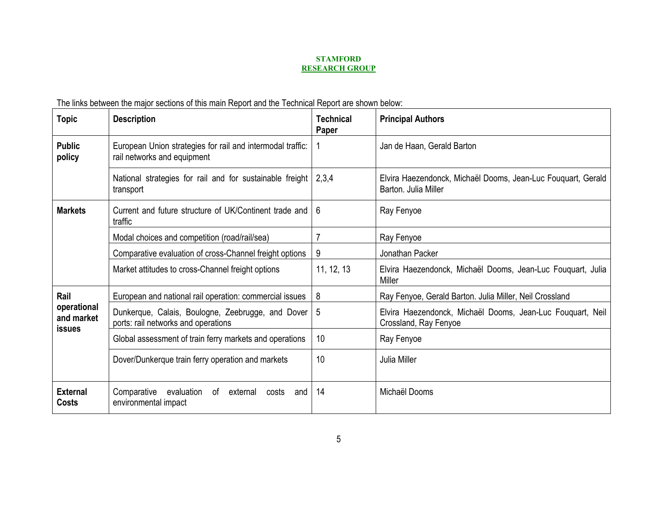The links between the major sections of this main Report and the Technical Report are shown below:

| <b>Topic</b>                               | <b>Description</b>                                                                         | <b>Technical</b><br>Paper | <b>Principal Authors</b>                                                             |
|--------------------------------------------|--------------------------------------------------------------------------------------------|---------------------------|--------------------------------------------------------------------------------------|
| <b>Public</b><br>policy                    | European Union strategies for rail and intermodal traffic:<br>rail networks and equipment  |                           | Jan de Haan, Gerald Barton                                                           |
|                                            | National strategies for rail and for sustainable freight<br>transport                      | 2,3,4                     | Elvira Haezendonck, Michaël Dooms, Jean-Luc Fouquart, Gerald<br>Barton, Julia Miller |
| <b>Markets</b>                             | Current and future structure of UK/Continent trade and<br>traffic                          | 6                         | Ray Fenyoe                                                                           |
|                                            | Modal choices and competition (road/rail/sea)                                              |                           | Ray Fenyoe                                                                           |
|                                            | Comparative evaluation of cross-Channel freight options                                    | 9                         | Jonathan Packer                                                                      |
|                                            | Market attitudes to cross-Channel freight options                                          | 11, 12, 13                | Elvira Haezendonck, Michaël Dooms, Jean-Luc Fouquart, Julia<br>Miller                |
| Rail                                       | European and national rail operation: commercial issues                                    | 8                         | Ray Fenyoe, Gerald Barton. Julia Miller, Neil Crossland                              |
| operational<br>and market<br><b>issues</b> | Dunkerque, Calais, Boulogne, Zeebrugge, and Dover  <br>ports: rail networks and operations | -5                        | Elvira Haezendonck, Michaël Dooms, Jean-Luc Fouquart, Neil<br>Crossland, Ray Fenyoe  |
|                                            | Global assessment of train ferry markets and operations                                    | 10                        | Ray Fenyoe                                                                           |
|                                            | Dover/Dunkerque train ferry operation and markets                                          | 10                        | Julia Miller                                                                         |
| <b>External</b><br>Costs                   | Comparative<br>evaluation<br>οf<br>external<br>costs<br>and<br>environmental impact        | 14                        | Michaël Dooms                                                                        |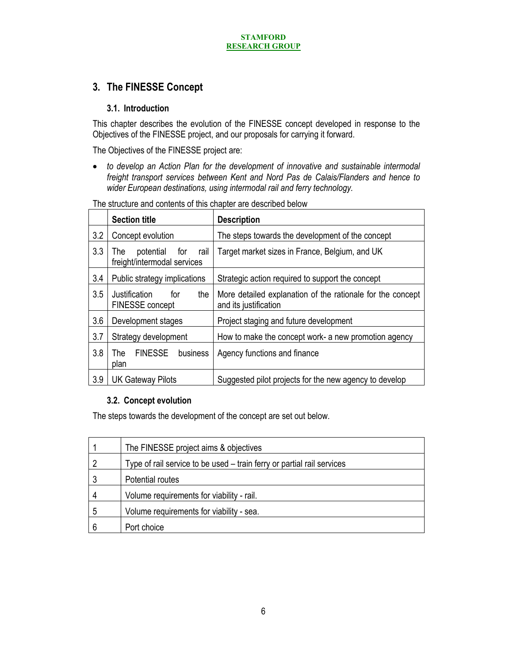# **3. The FINESSE Concept**

# **3.1. Introduction**

This chapter describes the evolution of the FINESSE concept developed in response to the Objectives of the FINESSE project, and our proposals for carrying it forward.

The Objectives of the FINESSE project are:

• *to develop an Action Plan for the development of innovative and sustainable intermodal freight transport services between Kent and Nord Pas de Calais/Flanders and hence to wider European destinations, using intermodal rail and ferry technology.* 

|     | <b>Section title</b>                                           | <b>Description</b>                                                                  |
|-----|----------------------------------------------------------------|-------------------------------------------------------------------------------------|
| 3.2 | Concept evolution                                              | The steps towards the development of the concept                                    |
| 3.3 | potential<br>for<br>rail<br>The<br>freight/intermodal services | Target market sizes in France, Belgium, and UK                                      |
| 3.4 | Public strategy implications                                   | Strategic action required to support the concept                                    |
| 3.5 | Justification<br>the<br>for<br>FINESSE concept                 | More detailed explanation of the rationale for the concept<br>and its justification |
| 3.6 | Development stages                                             | Project staging and future development                                              |
| 3.7 | Strategy development                                           | How to make the concept work- a new promotion agency                                |
| 3.8 | <b>FINESSE</b><br>The.<br>business<br>plan                     | Agency functions and finance                                                        |
| 3.9 | <b>UK Gateway Pilots</b>                                       | Suggested pilot projects for the new agency to develop                              |

The structure and contents of this chapter are described below

# **3.2. Concept evolution**

The steps towards the development of the concept are set out below.

|   | The FINESSE project aims & objectives                                  |
|---|------------------------------------------------------------------------|
|   | Type of rail service to be used - train ferry or partial rail services |
|   | Potential routes                                                       |
| 4 | Volume requirements for viability - rail.                              |
| 5 | Volume requirements for viability - sea.                               |
| 6 | Port choice                                                            |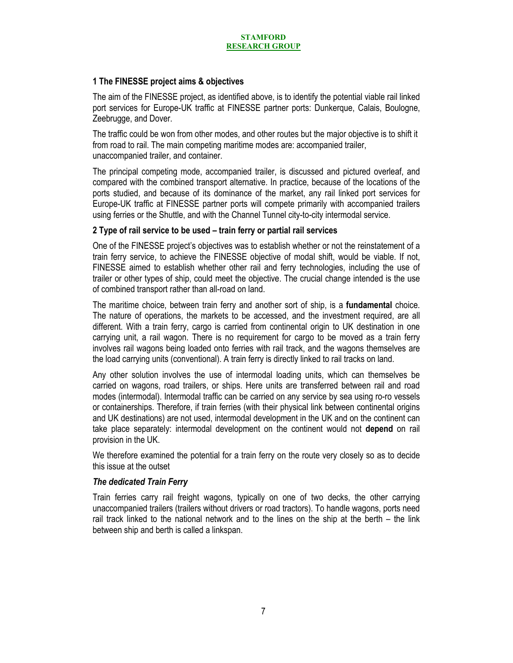# **1 The FINESSE project aims & objectives**

The aim of the FINESSE project, as identified above, is to identify the potential viable rail linked port services for Europe-UK traffic at FINESSE partner ports: Dunkerque, Calais, Boulogne, Zeebrugge, and Dover.

The traffic could be won from other modes, and other routes but the major objective is to shift it from road to rail. The main competing maritime modes are: accompanied trailer, unaccompanied trailer, and container.

The principal competing mode, accompanied trailer, is discussed and pictured overleaf, and compared with the combined transport alternative. In practice, because of the locations of the ports studied, and because of its dominance of the market, any rail linked port services for Europe-UK traffic at FINESSE partner ports will compete primarily with accompanied trailers using ferries or the Shuttle, and with the Channel Tunnel city-to-city intermodal service.

# **2 Type of rail service to be used – train ferry or partial rail services**

One of the FINESSE project's objectives was to establish whether or not the reinstatement of a train ferry service, to achieve the FINESSE objective of modal shift, would be viable. If not, FINESSE aimed to establish whether other rail and ferry technologies, including the use of trailer or other types of ship, could meet the objective. The crucial change intended is the use of combined transport rather than all-road on land.

The maritime choice, between train ferry and another sort of ship, is a **fundamental** choice. The nature of operations, the markets to be accessed, and the investment required, are all different. With a train ferry, cargo is carried from continental origin to UK destination in one carrying unit, a rail wagon. There is no requirement for cargo to be moved as a train ferry involves rail wagons being loaded onto ferries with rail track, and the wagons themselves are the load carrying units (conventional). A train ferry is directly linked to rail tracks on land.

Any other solution involves the use of intermodal loading units, which can themselves be carried on wagons, road trailers, or ships. Here units are transferred between rail and road modes (intermodal). Intermodal traffic can be carried on any service by sea using ro-ro vessels or containerships. Therefore, if train ferries (with their physical link between continental origins and UK destinations) are not used, intermodal development in the UK and on the continent can take place separately: intermodal development on the continent would not **depend** on rail provision in the UK.

We therefore examined the potential for a train ferry on the route very closely so as to decide this issue at the outset

### *The dedicated Train Ferry*

Train ferries carry rail freight wagons, typically on one of two decks, the other carrying unaccompanied trailers (trailers without drivers or road tractors). To handle wagons, ports need rail track linked to the national network and to the lines on the ship at the berth – the link between ship and berth is called a linkspan.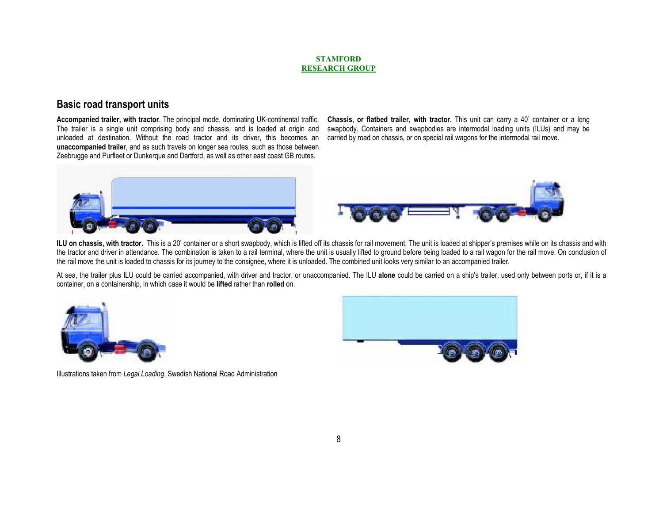# **Basic road transport units**

**Accompanied trailer, with tractor**. The principal mode, dominating UK-continental traffic. The trailer is a single unit comprising body and chassis, and is loaded at origin and unloaded at destination. Without the road tractor and its driver, this becomes an **unaccompanied trailer**, and as such travels on longer sea routes, such as those between Zeebrugge and Purfleet or Dunkerque and Dartford, as well as other east coast GB routes.

**Chassis, or flatbed trailer, with tractor.** This unit can carry a 40' container or a long swapbody. Containers and swapbodies are intermodal loading units (ILUs) and may be carried by road on chassis, or on special rail wagons for the intermodal rail move.





ILU on chassis, with tractor. This is a 20' container or a short swapbody, which is lifted off its chassis for rail movement. The unit is loaded at shipper's premises while on its chassis and with the tractor and driver in attendance. The combination is taken to a rail terminal, where the unit is usually lifted to ground before being loaded to a rail wagon for the rail move. On conclusion of the rail move the unit is loaded to chassis for its journey to the consignee, where it is unloaded. The combined unit looks very similar to an accompanied trailer.

At sea, the trailer plus ILU could be carried accompanied, with driver and tractor, or unaccompanied. The ILU **alone** could be carried on a ship's trailer, used only between ports or, if it is a container, on a containership, in which case it would be **lifted** rather than **rolled** on.





Illustrations taken from *Legal Loading*, Swedish National Road Administration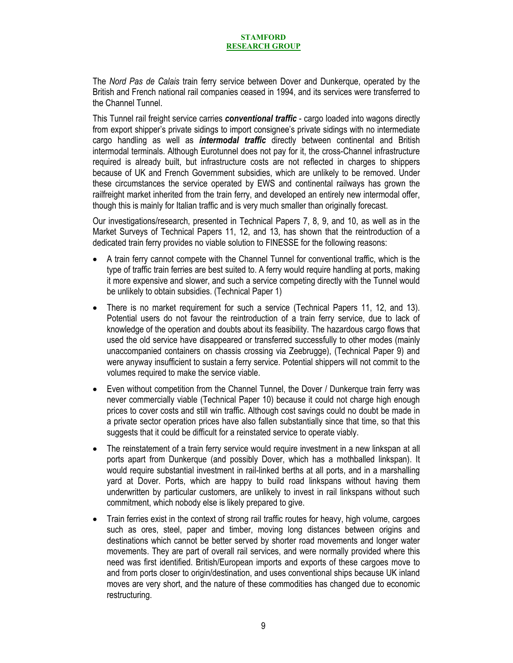The *Nord Pas de Calais* train ferry service between Dover and Dunkerque, operated by the British and French national rail companies ceased in 1994, and its services were transferred to the Channel Tunnel.

This Tunnel rail freight service carries *conventional traffic* - cargo loaded into wagons directly from export shipper's private sidings to import consignee's private sidings with no intermediate cargo handling as well as *intermodal traffic* directly between continental and British intermodal terminals. Although Eurotunnel does not pay for it, the cross-Channel infrastructure required is already built, but infrastructure costs are not reflected in charges to shippers because of UK and French Government subsidies, which are unlikely to be removed. Under these circumstances the service operated by EWS and continental railways has grown the railfreight market inherited from the train ferry, and developed an entirely new intermodal offer, though this is mainly for Italian traffic and is very much smaller than originally forecast.

Our investigations/research, presented in Technical Papers 7, 8, 9, and 10, as well as in the Market Surveys of Technical Papers 11, 12, and 13, has shown that the reintroduction of a dedicated train ferry provides no viable solution to FINESSE for the following reasons:

- A train ferry cannot compete with the Channel Tunnel for conventional traffic, which is the type of traffic train ferries are best suited to. A ferry would require handling at ports, making it more expensive and slower, and such a service competing directly with the Tunnel would be unlikely to obtain subsidies. (Technical Paper 1)
- There is no market requirement for such a service (Technical Papers 11, 12, and 13). Potential users do not favour the reintroduction of a train ferry service, due to lack of knowledge of the operation and doubts about its feasibility. The hazardous cargo flows that used the old service have disappeared or transferred successfully to other modes (mainly unaccompanied containers on chassis crossing via Zeebrugge), (Technical Paper 9) and were anyway insufficient to sustain a ferry service. Potential shippers will not commit to the volumes required to make the service viable.
- Even without competition from the Channel Tunnel, the Dover / Dunkerque train ferry was never commercially viable (Technical Paper 10) because it could not charge high enough prices to cover costs and still win traffic. Although cost savings could no doubt be made in a private sector operation prices have also fallen substantially since that time, so that this suggests that it could be difficult for a reinstated service to operate viably.
- The reinstatement of a train ferry service would require investment in a new linkspan at all ports apart from Dunkerque (and possibly Dover, which has a mothballed linkspan). It would require substantial investment in rail-linked berths at all ports, and in a marshalling yard at Dover. Ports, which are happy to build road linkspans without having them underwritten by particular customers, are unlikely to invest in rail linkspans without such commitment, which nobody else is likely prepared to give.
- Train ferries exist in the context of strong rail traffic routes for heavy, high volume, cargoes such as ores, steel, paper and timber, moving long distances between origins and destinations which cannot be better served by shorter road movements and longer water movements. They are part of overall rail services, and were normally provided where this need was first identified. British/European imports and exports of these cargoes move to and from ports closer to origin/destination, and uses conventional ships because UK inland moves are very short, and the nature of these commodities has changed due to economic restructuring.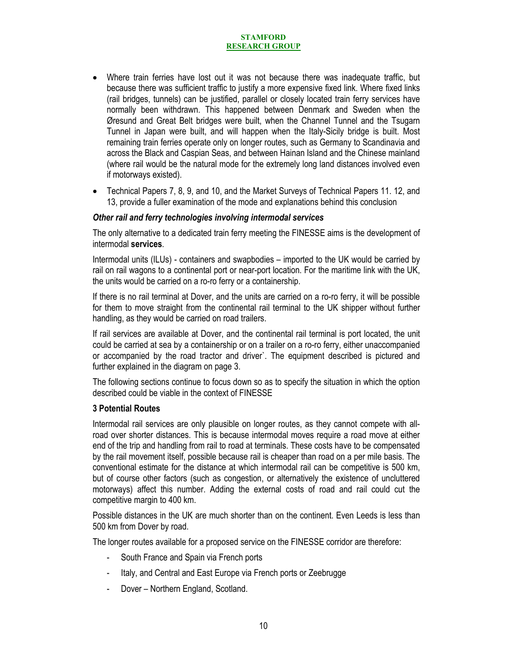- Where train ferries have lost out it was not because there was inadequate traffic, but because there was sufficient traffic to justify a more expensive fixed link. Where fixed links (rail bridges, tunnels) can be justified, parallel or closely located train ferry services have normally been withdrawn. This happened between Denmark and Sweden when the Øresund and Great Belt bridges were built, when the Channel Tunnel and the Tsugarn Tunnel in Japan were built, and will happen when the Italy-Sicily bridge is built. Most remaining train ferries operate only on longer routes, such as Germany to Scandinavia and across the Black and Caspian Seas, and between Hainan Island and the Chinese mainland (where rail would be the natural mode for the extremely long land distances involved even if motorways existed).
- Technical Papers 7, 8, 9, and 10, and the Market Surveys of Technical Papers 11. 12, and 13, provide a fuller examination of the mode and explanations behind this conclusion

### *Other rail and ferry technologies involving intermodal services*

The only alternative to a dedicated train ferry meeting the FINESSE aims is the development of intermodal **services**.

Intermodal units (ILUs) - containers and swapbodies – imported to the UK would be carried by rail on rail wagons to a continental port or near-port location. For the maritime link with the UK, the units would be carried on a ro-ro ferry or a containership.

If there is no rail terminal at Dover, and the units are carried on a ro-ro ferry, it will be possible for them to move straight from the continental rail terminal to the UK shipper without further handling, as they would be carried on road trailers.

If rail services are available at Dover, and the continental rail terminal is port located, the unit could be carried at sea by a containership or on a trailer on a ro-ro ferry, either unaccompanied or accompanied by the road tractor and driver`. The equipment described is pictured and further explained in the diagram on page 3.

The following sections continue to focus down so as to specify the situation in which the option described could be viable in the context of FINESSE

### **3 Potential Routes**

Intermodal rail services are only plausible on longer routes, as they cannot compete with allroad over shorter distances. This is because intermodal moves require a road move at either end of the trip and handling from rail to road at terminals. These costs have to be compensated by the rail movement itself, possible because rail is cheaper than road on a per mile basis. The conventional estimate for the distance at which intermodal rail can be competitive is 500 km, but of course other factors (such as congestion, or alternatively the existence of uncluttered motorways) affect this number. Adding the external costs of road and rail could cut the competitive margin to 400 km.

Possible distances in the UK are much shorter than on the continent. Even Leeds is less than 500 km from Dover by road.

The longer routes available for a proposed service on the FINESSE corridor are therefore:

- South France and Spain via French ports
- Italy, and Central and East Europe via French ports or Zeebrugge
- Dover Northern England, Scotland.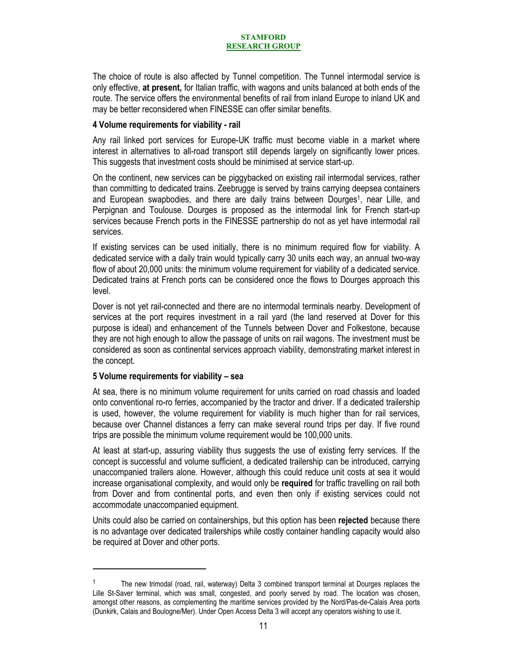The choice of route is also affected by Tunnel competition. The Tunnel intermodal service is only effective, **at present,** for Italian traffic, with wagons and units balanced at both ends of the route. The service offers the environmental benefits of rail from inland Europe to inland UK and may be better reconsidered when FINESSE can offer similar benefits.

### **4 Volume requirements for viability - rail**

Any rail linked port services for Europe-UK traffic must become viable in a market where interest in alternatives to all-road transport still depends largely on significantly lower prices. This suggests that investment costs should be minimised at service start-up.

On the continent, new services can be piggybacked on existing rail intermodal services, rather than committing to dedicated trains. Zeebrugge is served by trains carrying deepsea containers and European swapbodies, and there are daily trains between Dourges<sup>1</sup>, near Lille, and Perpignan and Toulouse. Dourges is proposed as the intermodal link for French start-up services because French ports in the FINESSE partnership do not as yet have intermodal rail services.

If existing services can be used initially, there is no minimum required flow for viability. A dedicated service with a daily train would typically carry 30 units each way, an annual two-way flow of about 20,000 units: the minimum volume requirement for viability of a dedicated service. Dedicated trains at French ports can be considered once the flows to Dourges approach this level.

Dover is not yet rail-connected and there are no intermodal terminals nearby. Development of services at the port requires investment in a rail yard (the land reserved at Dover for this purpose is ideal) and enhancement of the Tunnels between Dover and Folkestone, because they are not high enough to allow the passage of units on rail wagons. The investment must be considered as soon as continental services approach viability, demonstrating market interest in the concept.

### **5 Volume requirements for viability – sea**

l

At sea, there is no minimum volume requirement for units carried on road chassis and loaded onto conventional ro-ro ferries, accompanied by the tractor and driver. If a dedicated trailership is used, however, the volume requirement for viability is much higher than for rail services, because over Channel distances a ferry can make several round trips per day. If five round trips are possible the minimum volume requirement would be 100,000 units.

At least at start-up, assuring viability thus suggests the use of existing ferry services. If the concept is successful and volume sufficient, a dedicated trailership can be introduced, carrying unaccompanied trailers alone. However, although this could reduce unit costs at sea it would increase organisational complexity, and would only be **required** for traffic travelling on rail both from Dover and from continental ports, and even then only if existing services could not accommodate unaccompanied equipment.

Units could also be carried on containerships, but this option has been **rejected** because there is no advantage over dedicated trailerships while costly container handling capacity would also be required at Dover and other ports.

<sup>&</sup>lt;sup>1</sup> The new trimodal (road, rail, waterway) Delta 3 combined transport terminal at Dourges replaces the Lille St-Saver terminal, which was small, congested, and poorly served by road. The location was chosen, amongst other reasons, as complementing the maritime services provided by the Nord/Pas-de-Calais Area ports (Dunkirk, Calais and Boulogne/Mer). Under Open Access Delta 3 will accept any operators wishing to use it.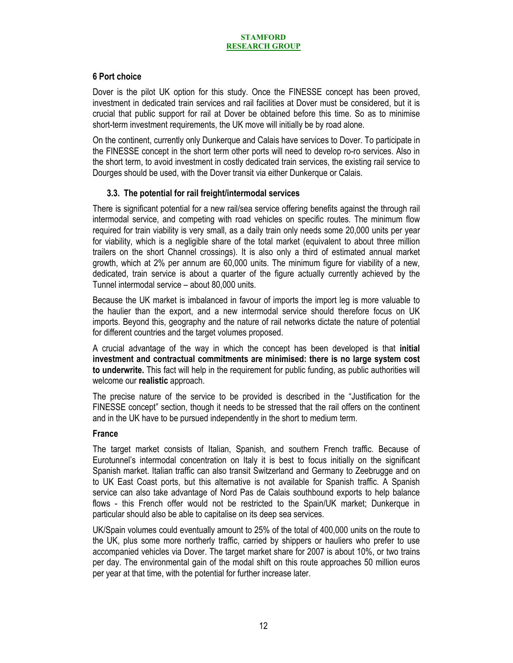# **6 Port choice**

Dover is the pilot UK option for this study. Once the FINESSE concept has been proved, investment in dedicated train services and rail facilities at Dover must be considered, but it is crucial that public support for rail at Dover be obtained before this time. So as to minimise short-term investment requirements, the UK move will initially be by road alone.

On the continent, currently only Dunkerque and Calais have services to Dover. To participate in the FINESSE concept in the short term other ports will need to develop ro-ro services. Also in the short term, to avoid investment in costly dedicated train services, the existing rail service to Dourges should be used, with the Dover transit via either Dunkerque or Calais.

# **3.3. The potential for rail freight/intermodal services**

There is significant potential for a new rail/sea service offering benefits against the through rail intermodal service, and competing with road vehicles on specific routes. The minimum flow required for train viability is very small, as a daily train only needs some 20,000 units per year for viability, which is a negligible share of the total market (equivalent to about three million trailers on the short Channel crossings). It is also only a third of estimated annual market growth, which at 2% per annum are 60,000 units. The minimum figure for viability of a new, dedicated, train service is about a quarter of the figure actually currently achieved by the Tunnel intermodal service – about 80,000 units.

Because the UK market is imbalanced in favour of imports the import leg is more valuable to the haulier than the export, and a new intermodal service should therefore focus on UK imports. Beyond this, geography and the nature of rail networks dictate the nature of potential for different countries and the target volumes proposed.

A crucial advantage of the way in which the concept has been developed is that **initial investment and contractual commitments are minimised: there is no large system cost to underwrite.** This fact will help in the requirement for public funding, as public authorities will welcome our **realistic** approach.

The precise nature of the service to be provided is described in the "Justification for the FINESSE concept" section, though it needs to be stressed that the rail offers on the continent and in the UK have to be pursued independently in the short to medium term.

### **France**

The target market consists of Italian, Spanish, and southern French traffic. Because of Eurotunnel's intermodal concentration on Italy it is best to focus initially on the significant Spanish market. Italian traffic can also transit Switzerland and Germany to Zeebrugge and on to UK East Coast ports, but this alternative is not available for Spanish traffic. A Spanish service can also take advantage of Nord Pas de Calais southbound exports to help balance flows - this French offer would not be restricted to the Spain/UK market; Dunkerque in particular should also be able to capitalise on its deep sea services.

UK/Spain volumes could eventually amount to 25% of the total of 400,000 units on the route to the UK, plus some more northerly traffic, carried by shippers or hauliers who prefer to use accompanied vehicles via Dover. The target market share for 2007 is about 10%, or two trains per day. The environmental gain of the modal shift on this route approaches 50 million euros per year at that time, with the potential for further increase later.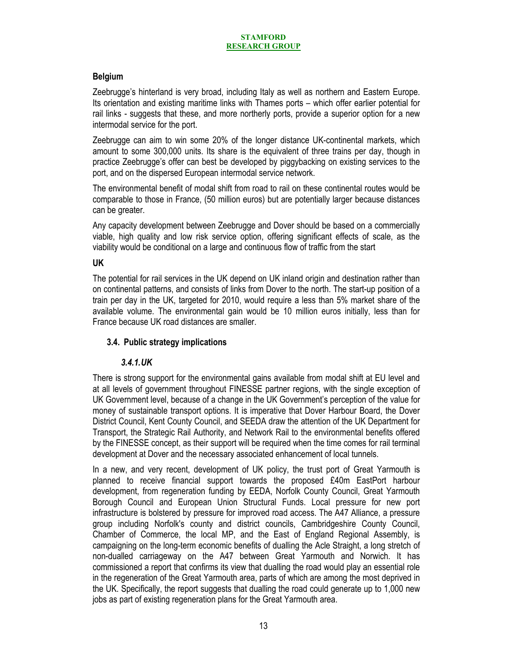# **Belgium**

Zeebrugge's hinterland is very broad, including Italy as well as northern and Eastern Europe. Its orientation and existing maritime links with Thames ports – which offer earlier potential for rail links - suggests that these, and more northerly ports, provide a superior option for a new intermodal service for the port.

Zeebrugge can aim to win some 20% of the longer distance UK-continental markets, which amount to some 300,000 units. Its share is the equivalent of three trains per day, though in practice Zeebrugge's offer can best be developed by piggybacking on existing services to the port, and on the dispersed European intermodal service network.

The environmental benefit of modal shift from road to rail on these continental routes would be comparable to those in France, (50 million euros) but are potentially larger because distances can be greater.

Any capacity development between Zeebrugge and Dover should be based on a commercially viable, high quality and low risk service option, offering significant effects of scale, as the viability would be conditional on a large and continuous flow of traffic from the start

# **UK**

The potential for rail services in the UK depend on UK inland origin and destination rather than on continental patterns, and consists of links from Dover to the north. The start-up position of a train per day in the UK, targeted for 2010, would require a less than 5% market share of the available volume. The environmental gain would be 10 million euros initially, less than for France because UK road distances are smaller.

# **3.4. Public strategy implications**

# *3.4.1.UK*

There is strong support for the environmental gains available from modal shift at EU level and at all levels of government throughout FINESSE partner regions, with the single exception of UK Government level, because of a change in the UK Government's perception of the value for money of sustainable transport options. It is imperative that Dover Harbour Board, the Dover District Council, Kent County Council, and SEEDA draw the attention of the UK Department for Transport, the Strategic Rail Authority, and Network Rail to the environmental benefits offered by the FINESSE concept, as their support will be required when the time comes for rail terminal development at Dover and the necessary associated enhancement of local tunnels.

In a new, and very recent, development of UK policy, the trust port of Great Yarmouth is planned to receive financial support towards the proposed £40m EastPort harbour development, from regeneration funding by EEDA, Norfolk County Council, Great Yarmouth Borough Council and European Union Structural Funds. Local pressure for new port infrastructure is bolstered by pressure for improved road access. The A47 Alliance, a pressure group including Norfolk's county and district councils, Cambridgeshire County Council, Chamber of Commerce, the local MP, and the East of England Regional Assembly, is campaigning on the long-term economic benefits of dualling the Acle Straight, a long stretch of non-dualled carriageway on the A47 between Great Yarmouth and Norwich. It has commissioned a report that confirms its view that dualling the road would play an essential role in the regeneration of the Great Yarmouth area, parts of which are among the most deprived in the UK. Specifically, the report suggests that dualling the road could generate up to 1,000 new jobs as part of existing regeneration plans for the Great Yarmouth area.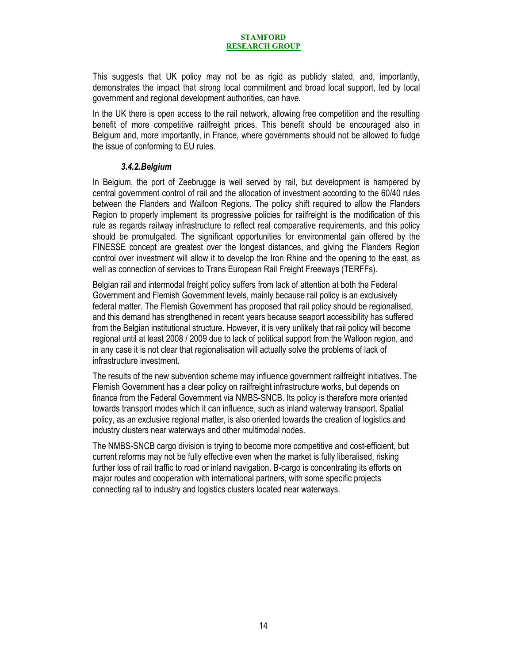This suggests that UK policy may not be as rigid as publicly stated, and, importantly, demonstrates the impact that strong local commitment and broad local support, led by local government and regional development authorities, can have.

In the UK there is open access to the rail network, allowing free competition and the resulting benefit of more competitive railfreight prices. This benefit should be encouraged also in Belgium and, more importantly, in France, where governments should not be allowed to fudge the issue of conforming to EU rules.

### *3.4.2.Belgium*

In Belgium, the port of Zeebrugge is well served by rail, but development is hampered by central government control of rail and the allocation of investment according to the 60/40 rules between the Flanders and Walloon Regions. The policy shift required to allow the Flanders Region to properly implement its progressive policies for railfreight is the modification of this rule as regards railway infrastructure to reflect real comparative requirements, and this policy should be promulgated. The significant opportunities for environmental gain offered by the FINESSE concept are greatest over the longest distances, and giving the Flanders Region control over investment will allow it to develop the Iron Rhine and the opening to the east, as well as connection of services to Trans European Rail Freight Freeways (TERFFs).

Belgian rail and intermodal freight policy suffers from lack of attention at both the Federal Government and Flemish Government levels, mainly because rail policy is an exclusively federal matter. The Flemish Government has proposed that rail policy should be regionalised, and this demand has strengthened in recent years because seaport accessibility has suffered from the Belgian institutional structure. However, it is very unlikely that rail policy will become regional until at least 2008 / 2009 due to lack of political support from the Walloon region, and in any case it is not clear that regionalisation will actually solve the problems of lack of infrastructure investment.

The results of the new subvention scheme may influence government railfreight initiatives. The Flemish Government has a clear policy on railfreight infrastructure works, but depends on finance from the Federal Government via NMBS-SNCB. Its policy is therefore more oriented towards transport modes which it can influence, such as inland waterway transport. Spatial policy, as an exclusive regional matter, is also oriented towards the creation of logistics and industry clusters near waterways and other multimodal nodes.

The NMBS-SNCB cargo division is trying to become more competitive and cost-efficient, but current reforms may not be fully effective even when the market is fully liberalised, risking further loss of rail traffic to road or inland navigation. B-cargo is concentrating its efforts on major routes and cooperation with international partners, with some specific projects connecting rail to industry and logistics clusters located near waterways.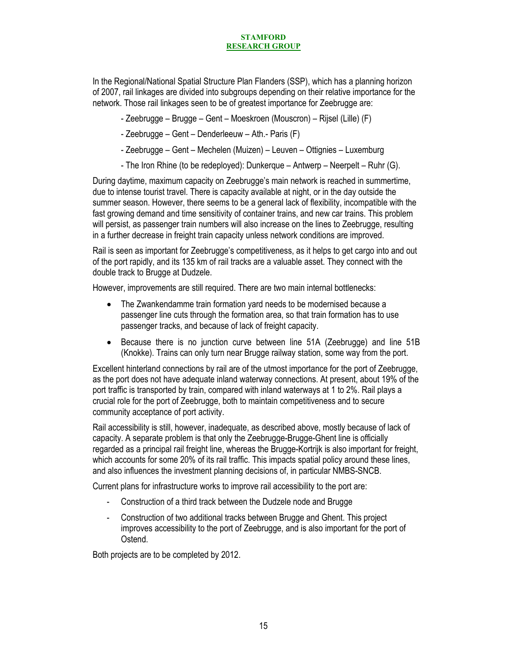In the Regional/National Spatial Structure Plan Flanders (SSP), which has a planning horizon of 2007, rail linkages are divided into subgroups depending on their relative importance for the network. Those rail linkages seen to be of greatest importance for Zeebrugge are:

- Zeebrugge Brugge Gent Moeskroen (Mouscron) Rijsel (Lille) (F)
- Zeebrugge Gent Denderleeuw Ath.- Paris (F)
- Zeebrugge Gent Mechelen (Muizen) Leuven Ottignies Luxemburg
- The Iron Rhine (to be redeployed): Dunkerque Antwerp Neerpelt Ruhr (G).

During daytime, maximum capacity on Zeebrugge's main network is reached in summertime, due to intense tourist travel. There is capacity available at night, or in the day outside the summer season. However, there seems to be a general lack of flexibility, incompatible with the fast growing demand and time sensitivity of container trains, and new car trains. This problem will persist, as passenger train numbers will also increase on the lines to Zeebrugge, resulting in a further decrease in freight train capacity unless network conditions are improved.

Rail is seen as important for Zeebrugge's competitiveness, as it helps to get cargo into and out of the port rapidly, and its 135 km of rail tracks are a valuable asset. They connect with the double track to Brugge at Dudzele.

However, improvements are still required. There are two main internal bottlenecks:

- The Zwankendamme train formation yard needs to be modernised because a passenger line cuts through the formation area, so that train formation has to use passenger tracks, and because of lack of freight capacity.
- Because there is no junction curve between line 51A (Zeebrugge) and line 51B (Knokke). Trains can only turn near Brugge railway station, some way from the port.

Excellent hinterland connections by rail are of the utmost importance for the port of Zeebrugge, as the port does not have adequate inland waterway connections. At present, about 19% of the port traffic is transported by train, compared with inland waterways at 1 to 2%. Rail plays a crucial role for the port of Zeebrugge, both to maintain competitiveness and to secure community acceptance of port activity.

Rail accessibility is still, however, inadequate, as described above, mostly because of lack of capacity. A separate problem is that only the Zeebrugge-Brugge-Ghent line is officially regarded as a principal rail freight line, whereas the Brugge-Kortrijk is also important for freight, which accounts for some 20% of its rail traffic. This impacts spatial policy around these lines, and also influences the investment planning decisions of, in particular NMBS-SNCB.

Current plans for infrastructure works to improve rail accessibility to the port are:

- Construction of a third track between the Dudzele node and Brugge
- Construction of two additional tracks between Brugge and Ghent. This project improves accessibility to the port of Zeebrugge, and is also important for the port of Ostend.

Both projects are to be completed by 2012.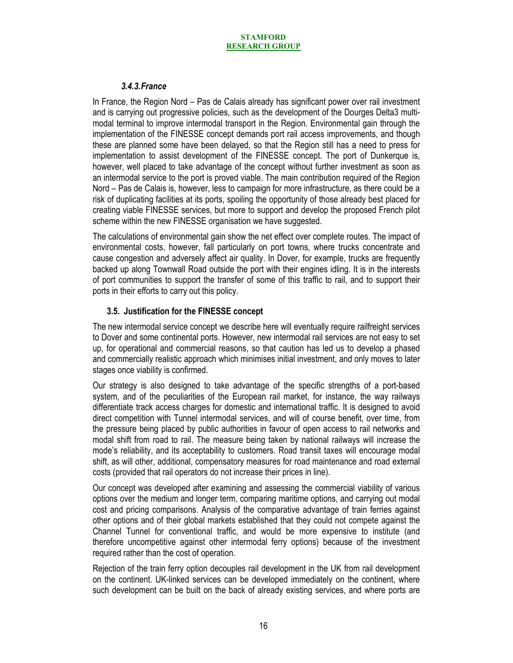# *3.4.3.France*

In France, the Region Nord – Pas de Calais already has significant power over rail investment and is carrying out progressive policies, such as the development of the Dourges Delta3 multimodal terminal to improve intermodal transport in the Region. Environmental gain through the implementation of the FINESSE concept demands port rail access improvements, and though these are planned some have been delayed, so that the Region still has a need to press for implementation to assist development of the FINESSE concept. The port of Dunkerque is, however, well placed to take advantage of the concept without further investment as soon as an intermodal service to the port is proved viable. The main contribution required of the Region Nord – Pas de Calais is, however, less to campaign for more infrastructure, as there could be a risk of duplicating facilities at its ports, spoiling the opportunity of those already best placed for creating viable FINESSE services, but more to support and develop the proposed French pilot scheme within the new FINESSE organisation we have suggested.

The calculations of environmental gain show the net effect over complete routes. The impact of environmental costs, however, fall particularly on port towns, where trucks concentrate and cause congestion and adversely affect air quality. In Dover, for example, trucks are frequently backed up along Townwall Road outside the port with their engines idling. It is in the interests of port communities to support the transfer of some of this traffic to rail, and to support their ports in their efforts to carry out this policy.

# **3.5. Justification for the FINESSE concept**

The new intermodal service concept we describe here will eventually require railfreight services to Dover and some continental ports. However, new intermodal rail services are not easy to set up, for operational and commercial reasons, so that caution has led us to develop a phased and commercially realistic approach which minimises initial investment, and only moves to later stages once viability is confirmed.

Our strategy is also designed to take advantage of the specific strengths of a port-based system, and of the peculiarities of the European rail market, for instance, the way railways differentiate track access charges for domestic and international traffic. It is designed to avoid direct competition with Tunnel intermodal services, and will of course benefit, over time, from the pressure being placed by public authorities in favour of open access to rail networks and modal shift from road to rail. The measure being taken by national railways will increase the mode's reliability, and its acceptability to customers. Road transit taxes will encourage modal shift, as will other, additional, compensatory measures for road maintenance and road external costs (provided that rail operators do not increase their prices in line).

Our concept was developed after examining and assessing the commercial viability of various options over the medium and longer term, comparing maritime options, and carrying out modal cost and pricing comparisons. Analysis of the comparative advantage of train ferries against other options and of their global markets established that they could not compete against the Channel Tunnel for conventional traffic, and would be more expensive to institute (and therefore uncompetitive against other intermodal ferry options) because of the investment required rather than the cost of operation.

Rejection of the train ferry option decouples rail development in the UK from rail development on the continent. UK-linked services can be developed immediately on the continent, where such development can be built on the back of already existing services, and where ports are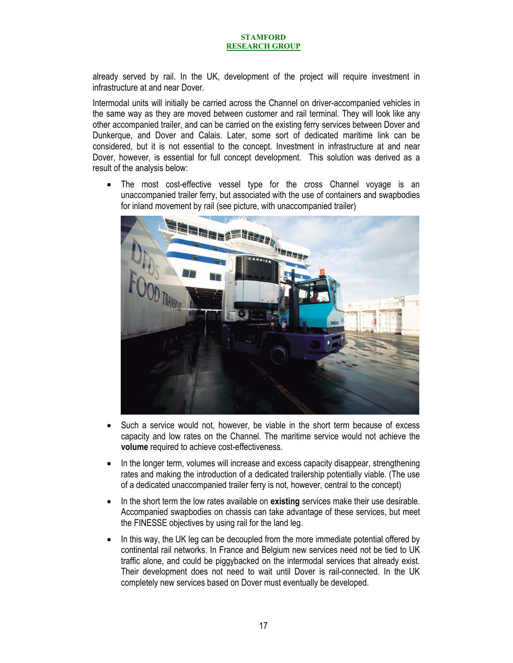already served by rail. In the UK, development of the project will require investment in infrastructure at and near Dover.

Intermodal units will initially be carried across the Channel on driver-accompanied vehicles in the same way as they are moved between customer and rail terminal. They will look like any other accompanied trailer, and can be carried on the existing ferry services between Dover and Dunkerque, and Dover and Calais. Later, some sort of dedicated maritime link can be considered, but it is not essential to the concept. Investment in infrastructure at and near Dover, however, is essential for full concept development. This solution was derived as a result of the analysis below:

• The most cost-effective vessel type for the cross Channel voyage is an unaccompanied trailer ferry, but associated with the use of containers and swapbodies for inland movement by rail (see picture, with unaccompanied trailer)



- Such a service would not, however, be viable in the short term because of excess capacity and low rates on the Channel. The maritime service would not achieve the **volume** required to achieve cost-effectiveness.
- In the longer term, volumes will increase and excess capacity disappear, strengthening rates and making the introduction of a dedicated trailership potentially viable. (The use of a dedicated unaccompanied trailer ferry is not, however, central to the concept)
- In the short term the low rates available on **existing** services make their use desirable. Accompanied swapbodies on chassis can take advantage of these services, but meet the FINESSE objectives by using rail for the land leg.
- In this way, the UK leg can be decoupled from the more immediate potential offered by continental rail networks. In France and Belgium new services need not be tied to UK traffic alone, and could be piggybacked on the intermodal services that already exist. Their development does not need to wait until Dover is rail-connected. In the UK completely new services based on Dover must eventually be developed.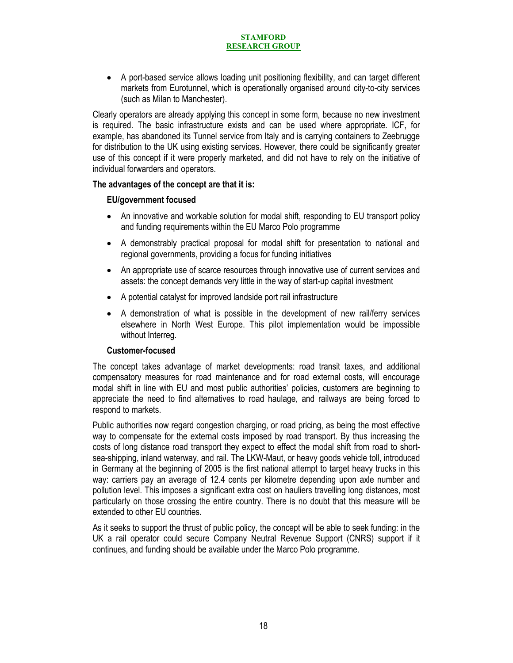• A port-based service allows loading unit positioning flexibility, and can target different markets from Eurotunnel, which is operationally organised around city-to-city services (such as Milan to Manchester).

Clearly operators are already applying this concept in some form, because no new investment is required. The basic infrastructure exists and can be used where appropriate. ICF, for example, has abandoned its Tunnel service from Italy and is carrying containers to Zeebrugge for distribution to the UK using existing services. However, there could be significantly greater use of this concept if it were properly marketed, and did not have to rely on the initiative of individual forwarders and operators.

### **The advantages of the concept are that it is:**

# **EU/government focused**

- An innovative and workable solution for modal shift, responding to EU transport policy and funding requirements within the EU Marco Polo programme
- A demonstrably practical proposal for modal shift for presentation to national and regional governments, providing a focus for funding initiatives
- An appropriate use of scarce resources through innovative use of current services and assets: the concept demands very little in the way of start-up capital investment
- A potential catalyst for improved landside port rail infrastructure
- A demonstration of what is possible in the development of new rail/ferry services elsewhere in North West Europe. This pilot implementation would be impossible without Interreg.

# **Customer-focused**

The concept takes advantage of market developments: road transit taxes, and additional compensatory measures for road maintenance and for road external costs, will encourage modal shift in line with EU and most public authorities' policies, customers are beginning to appreciate the need to find alternatives to road haulage, and railways are being forced to respond to markets.

Public authorities now regard congestion charging, or road pricing, as being the most effective way to compensate for the external costs imposed by road transport. By thus increasing the costs of long distance road transport they expect to effect the modal shift from road to shortsea-shipping, inland waterway, and rail. The LKW-Maut, or heavy goods vehicle toll, introduced in Germany at the beginning of 2005 is the first national attempt to target heavy trucks in this way: carriers pay an average of 12.4 cents per kilometre depending upon axle number and pollution level. This imposes a significant extra cost on hauliers travelling long distances, most particularly on those crossing the entire country. There is no doubt that this measure will be extended to other EU countries.

As it seeks to support the thrust of public policy, the concept will be able to seek funding: in the UK a rail operator could secure Company Neutral Revenue Support (CNRS) support if it continues, and funding should be available under the Marco Polo programme.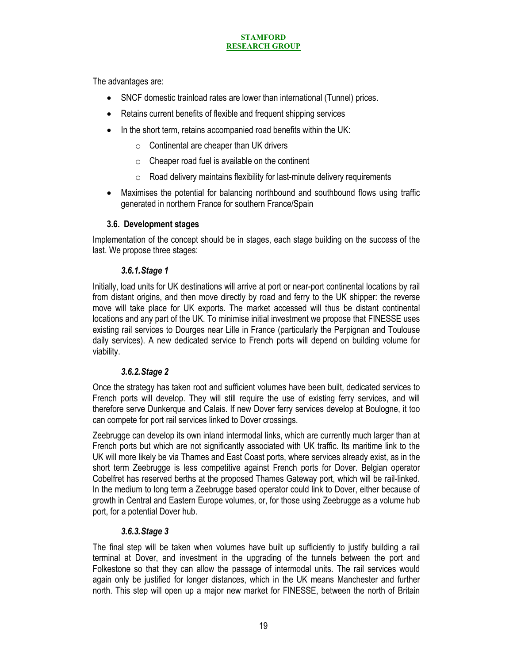The advantages are:

- SNCF domestic trainload rates are lower than international (Tunnel) prices.
- Retains current benefits of flexible and frequent shipping services
- In the short term, retains accompanied road benefits within the UK:
	- $\circ$  Continental are cheaper than UK drivers
	- $\circ$  Cheaper road fuel is available on the continent
	- $\circ$  Road delivery maintains flexibility for last-minute delivery requirements
- Maximises the potential for balancing northbound and southbound flows using traffic generated in northern France for southern France/Spain

### **3.6. Development stages**

Implementation of the concept should be in stages, each stage building on the success of the last. We propose three stages:

### *3.6.1.Stage 1*

Initially, load units for UK destinations will arrive at port or near-port continental locations by rail from distant origins, and then move directly by road and ferry to the UK shipper: the reverse move will take place for UK exports. The market accessed will thus be distant continental locations and any part of the UK. To minimise initial investment we propose that FINESSE uses existing rail services to Dourges near Lille in France (particularly the Perpignan and Toulouse daily services). A new dedicated service to French ports will depend on building volume for viability.

# *3.6.2.Stage 2*

Once the strategy has taken root and sufficient volumes have been built, dedicated services to French ports will develop. They will still require the use of existing ferry services, and will therefore serve Dunkerque and Calais. If new Dover ferry services develop at Boulogne, it too can compete for port rail services linked to Dover crossings.

Zeebrugge can develop its own inland intermodal links, which are currently much larger than at French ports but which are not significantly associated with UK traffic. Its maritime link to the UK will more likely be via Thames and East Coast ports, where services already exist, as in the short term Zeebrugge is less competitive against French ports for Dover. Belgian operator Cobelfret has reserved berths at the proposed Thames Gateway port, which will be rail-linked. In the medium to long term a Zeebrugge based operator could link to Dover, either because of growth in Central and Eastern Europe volumes, or, for those using Zeebrugge as a volume hub port, for a potential Dover hub.

# *3.6.3.Stage 3*

The final step will be taken when volumes have built up sufficiently to justify building a rail terminal at Dover, and investment in the upgrading of the tunnels between the port and Folkestone so that they can allow the passage of intermodal units. The rail services would again only be justified for longer distances, which in the UK means Manchester and further north. This step will open up a major new market for FINESSE, between the north of Britain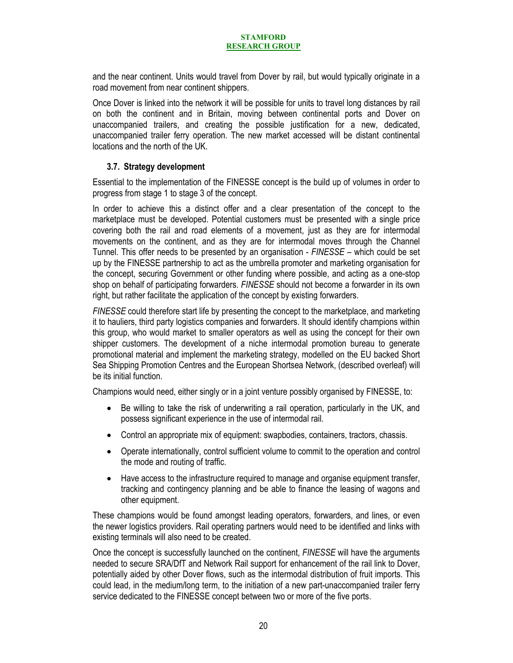and the near continent. Units would travel from Dover by rail, but would typically originate in a road movement from near continent shippers.

Once Dover is linked into the network it will be possible for units to travel long distances by rail on both the continent and in Britain, moving between continental ports and Dover on unaccompanied trailers, and creating the possible justification for a new, dedicated, unaccompanied trailer ferry operation. The new market accessed will be distant continental locations and the north of the UK.

# **3.7. Strategy development**

Essential to the implementation of the FINESSE concept is the build up of volumes in order to progress from stage 1 to stage 3 of the concept.

In order to achieve this a distinct offer and a clear presentation of the concept to the marketplace must be developed. Potential customers must be presented with a single price covering both the rail and road elements of a movement, just as they are for intermodal movements on the continent, and as they are for intermodal moves through the Channel Tunnel. This offer needs to be presented by an organisation - *FINESSE* – which could be set up by the FINESSE partnership to act as the umbrella promoter and marketing organisation for the concept, securing Government or other funding where possible, and acting as a one-stop shop on behalf of participating forwarders. *FINESSE* should not become a forwarder in its own right, but rather facilitate the application of the concept by existing forwarders.

*FINESSE* could therefore start life by presenting the concept to the marketplace, and marketing it to hauliers, third party logistics companies and forwarders. It should identify champions within this group, who would market to smaller operators as well as using the concept for their own shipper customers. The development of a niche intermodal promotion bureau to generate promotional material and implement the marketing strategy, modelled on the EU backed Short Sea Shipping Promotion Centres and the European Shortsea Network, (described overleaf) will be its initial function.

Champions would need, either singly or in a joint venture possibly organised by FINESSE, to:

- Be willing to take the risk of underwriting a rail operation, particularly in the UK, and possess significant experience in the use of intermodal rail.
- Control an appropriate mix of equipment: swapbodies, containers, tractors, chassis.
- Operate internationally, control sufficient volume to commit to the operation and control the mode and routing of traffic.
- Have access to the infrastructure required to manage and organise equipment transfer, tracking and contingency planning and be able to finance the leasing of wagons and other equipment.

These champions would be found amongst leading operators, forwarders, and lines, or even the newer logistics providers. Rail operating partners would need to be identified and links with existing terminals will also need to be created.

Once the concept is successfully launched on the continent, *FINESSE* will have the arguments needed to secure SRA/DfT and Network Rail support for enhancement of the rail link to Dover, potentially aided by other Dover flows, such as the intermodal distribution of fruit imports. This could lead, in the medium/long term, to the initiation of a new part-unaccompanied trailer ferry service dedicated to the FINESSE concept between two or more of the five ports.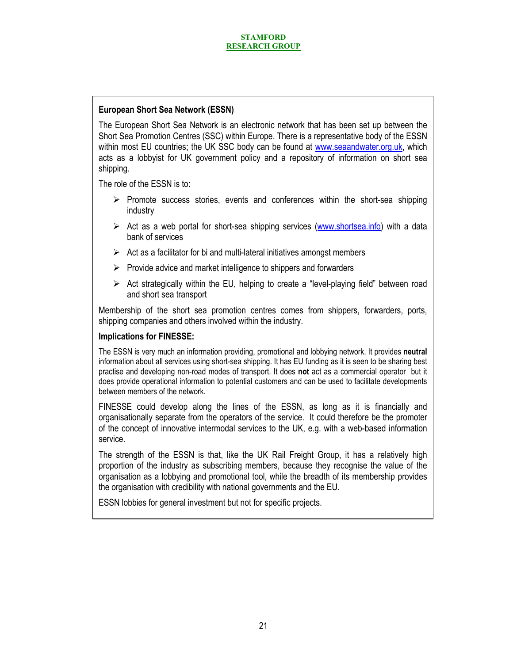# **European Short Sea Network (ESSN)**

The European Short Sea Network is an electronic network that has been set up between the Short Sea Promotion Centres (SSC) within Europe. There is a representative body of the ESSN within most EU countries; the UK SSC body can be found at www.seaandwater.org.uk, which acts as a lobbyist for UK government policy and a repository of information on short sea shipping.

The role of the ESSN is to:

- $\triangleright$  Promote success stories, events and conferences within the short-sea shipping industry
- $\triangleright$  Act as a web portal for short-sea shipping services (www.shortsea.info) with a data bank of services
- $\triangleright$  Act as a facilitator for bi and multi-lateral initiatives amongst members
- $\triangleright$  Provide advice and market intelligence to shippers and forwarders
- $\triangleright$  Act strategically within the EU, helping to create a "level-playing field" between road and short sea transport

Membership of the short sea promotion centres comes from shippers, forwarders, ports, shipping companies and others involved within the industry.

# **Implications for FINESSE:**

The ESSN is very much an information providing, promotional and lobbying network. It provides **neutral** information about all services using short-sea shipping. It has EU funding as it is seen to be sharing best practise and developing non-road modes of transport. It does **not** act as a commercial operator but it does provide operational information to potential customers and can be used to facilitate developments between members of the network.

FINESSE could develop along the lines of the ESSN, as long as it is financially and organisationally separate from the operators of the service. It could therefore be the promoter of the concept of innovative intermodal services to the UK, e.g. with a web-based information service.

The strength of the ESSN is that, like the UK Rail Freight Group, it has a relatively high proportion of the industry as subscribing members, because they recognise the value of the organisation as a lobbying and promotional tool, while the breadth of its membership provides the organisation with credibility with national governments and the EU.

ESSN lobbies for general investment but not for specific projects.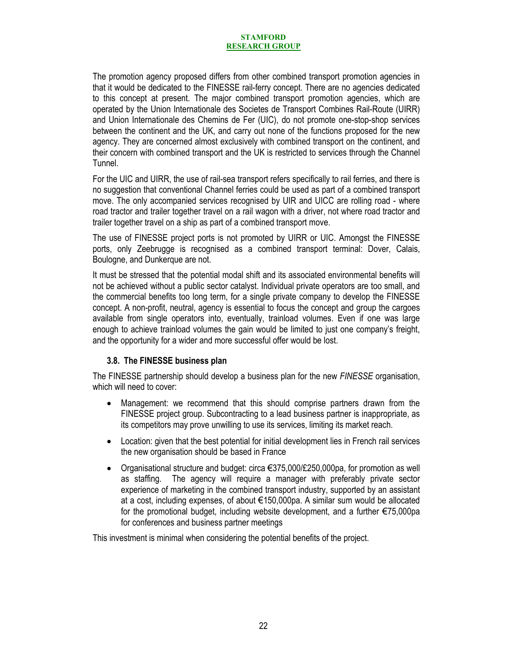The promotion agency proposed differs from other combined transport promotion agencies in that it would be dedicated to the FINESSE rail-ferry concept. There are no agencies dedicated to this concept at present. The major combined transport promotion agencies, which are operated by the Union Internationale des Societes de Transport Combines Rail-Route (UIRR) and Union Internationale des Chemins de Fer (UIC), do not promote one-stop-shop services between the continent and the UK, and carry out none of the functions proposed for the new agency. They are concerned almost exclusively with combined transport on the continent, and their concern with combined transport and the UK is restricted to services through the Channel Tunnel.

For the UIC and UIRR, the use of rail-sea transport refers specifically to rail ferries, and there is no suggestion that conventional Channel ferries could be used as part of a combined transport move. The only accompanied services recognised by UIR and UICC are rolling road - where road tractor and trailer together travel on a rail wagon with a driver, not where road tractor and trailer together travel on a ship as part of a combined transport move.

The use of FINESSE project ports is not promoted by UIRR or UIC. Amongst the FINESSE ports, only Zeebrugge is recognised as a combined transport terminal: Dover, Calais, Boulogne, and Dunkerque are not.

It must be stressed that the potential modal shift and its associated environmental benefits will not be achieved without a public sector catalyst. Individual private operators are too small, and the commercial benefits too long term, for a single private company to develop the FINESSE concept. A non-profit, neutral, agency is essential to focus the concept and group the cargoes available from single operators into, eventually, trainload volumes. Even if one was large enough to achieve trainload volumes the gain would be limited to just one company's freight, and the opportunity for a wider and more successful offer would be lost.

# **3.8. The FINESSE business plan**

The FINESSE partnership should develop a business plan for the new *FINESSE* organisation, which will need to cover:

- Management: we recommend that this should comprise partners drawn from the FINESSE project group. Subcontracting to a lead business partner is inappropriate, as its competitors may prove unwilling to use its services, limiting its market reach.
- Location: given that the best potential for initial development lies in French rail services the new organisation should be based in France
- Organisational structure and budget: circa  $\epsilon$ 375,000/£250,000pa, for promotion as well as staffing. The agency will require a manager with preferably private sector experience of marketing in the combined transport industry, supported by an assistant at a cost, including expenses, of about €150,000pa. A similar sum would be allocated for the promotional budget, including website development, and a further €75,000pa for conferences and business partner meetings

This investment is minimal when considering the potential benefits of the project.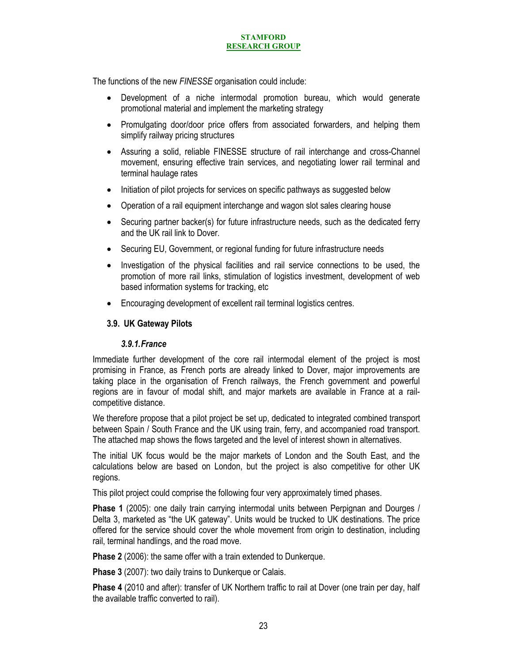The functions of the new *FINESSE* organisation could include:

- Development of a niche intermodal promotion bureau, which would generate promotional material and implement the marketing strategy
- Promulgating door/door price offers from associated forwarders, and helping them simplify railway pricing structures
- Assuring a solid, reliable FINESSE structure of rail interchange and cross-Channel movement, ensuring effective train services, and negotiating lower rail terminal and terminal haulage rates
- Initiation of pilot projects for services on specific pathways as suggested below
- Operation of a rail equipment interchange and wagon slot sales clearing house
- Securing partner backer(s) for future infrastructure needs, such as the dedicated ferry and the UK rail link to Dover.
- Securing EU, Government, or regional funding for future infrastructure needs
- Investigation of the physical facilities and rail service connections to be used, the promotion of more rail links, stimulation of logistics investment, development of web based information systems for tracking, etc
- Encouraging development of excellent rail terminal logistics centres.

### **3.9. UK Gateway Pilots**

### *3.9.1.France*

Immediate further development of the core rail intermodal element of the project is most promising in France, as French ports are already linked to Dover, major improvements are taking place in the organisation of French railways, the French government and powerful regions are in favour of modal shift, and major markets are available in France at a railcompetitive distance.

We therefore propose that a pilot project be set up, dedicated to integrated combined transport between Spain / South France and the UK using train, ferry, and accompanied road transport. The attached map shows the flows targeted and the level of interest shown in alternatives.

The initial UK focus would be the major markets of London and the South East, and the calculations below are based on London, but the project is also competitive for other UK regions.

This pilot project could comprise the following four very approximately timed phases.

**Phase 1** (2005): one daily train carrying intermodal units between Perpignan and Dourges / Delta 3, marketed as "the UK gateway". Units would be trucked to UK destinations. The price offered for the service should cover the whole movement from origin to destination, including rail, terminal handlings, and the road move.

**Phase 2** (2006): the same offer with a train extended to Dunkerque.

**Phase 3** (2007): two daily trains to Dunkerque or Calais.

**Phase 4** (2010 and after): transfer of UK Northern traffic to rail at Dover (one train per day, half the available traffic converted to rail).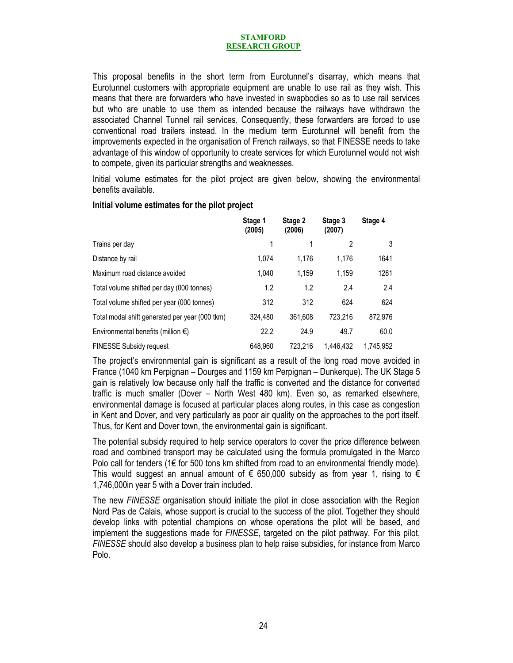This proposal benefits in the short term from Eurotunnel's disarray, which means that Eurotunnel customers with appropriate equipment are unable to use rail as they wish. This means that there are forwarders who have invested in swapbodies so as to use rail services but who are unable to use them as intended because the railways have withdrawn the associated Channel Tunnel rail services. Consequently, these forwarders are forced to use conventional road trailers instead. In the medium term Eurotunnel will benefit from the improvements expected in the organisation of French railways, so that FINESSE needs to take advantage of this window of opportunity to create services for which Eurotunnel would not wish to compete, given its particular strengths and weaknesses.

Initial volume estimates for the pilot project are given below, showing the environmental benefits available.

|                                                | Stage 1<br>(2005) | Stage 2<br>(2006) | Stage 3<br>(2007) | Stage 4   |
|------------------------------------------------|-------------------|-------------------|-------------------|-----------|
| Trains per day                                 | 1                 | 1                 | 2                 | 3         |
| Distance by rail                               | 1.074             | 1.176             | 1.176             | 1641      |
| Maximum road distance avoided                  | 1.040             | 1.159             | 1.159             | 1281      |
| Total volume shifted per day (000 tonnes)      | 1.2               | 1.2               | 2.4               | 2.4       |
| Total volume shifted per year (000 tonnes)     | 312               | 312               | 624               | 624       |
| Total modal shift generated per year (000 tkm) | 324.480           | 361.608           | 723.216           | 872,976   |
| Environmental benefits (million $\epsilon$ )   | 22.2              | 24.9              | 49.7              | 60.0      |
| <b>FINESSE Subsidy request</b>                 | 648.960           | 723.216           | 1.446.432         | 1.745.952 |

# **Initial volume estimates for the pilot project**

The project's environmental gain is significant as a result of the long road move avoided in France (1040 km Perpignan – Dourges and 1159 km Perpignan – Dunkerque). The UK Stage 5 gain is relatively low because only half the traffic is converted and the distance for converted traffic is much smaller (Dover – North West 480 km). Even so, as remarked elsewhere, environmental damage is focused at particular places along routes, in this case as congestion in Kent and Dover, and very particularly as poor air quality on the approaches to the port itself. Thus, for Kent and Dover town, the environmental gain is significant.

The potential subsidy required to help service operators to cover the price difference between road and combined transport may be calculated using the formula promulgated in the Marco Polo call for tenders ( $1 \in$  for 500 tons km shifted from road to an environmental friendly mode). This would suggest an annual amount of  $\epsilon$  650,000 subsidy as from year 1, rising to  $\epsilon$ 1,746,000in year 5 with a Dover train included.

The new *FINESSE* organisation should initiate the pilot in close association with the Region Nord Pas de Calais, whose support is crucial to the success of the pilot. Together they should develop links with potential champions on whose operations the pilot will be based, and implement the suggestions made for *FINESSE*, targeted on the pilot pathway. For this pilot, *FINESSE* should also develop a business plan to help raise subsidies, for instance from Marco Polo.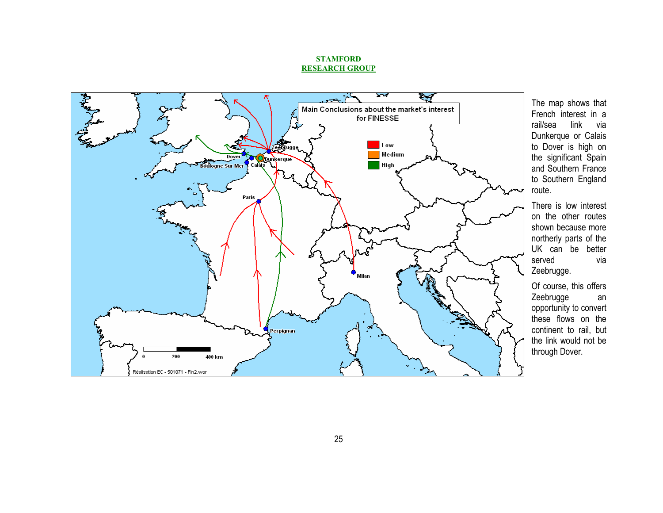

The map shows that French interest in a rail/sea link via Dunkerque or Calais to Dover is high on the significant Spain and Southern France to Southern England route.

There is low interest on the other routes shown because more northerly parts of the UK can be better served via Zeebrugge.

Of course, this offers Zeebrugge an opportunity to convert these flows on the continent to rail, but the link would not be through Dover.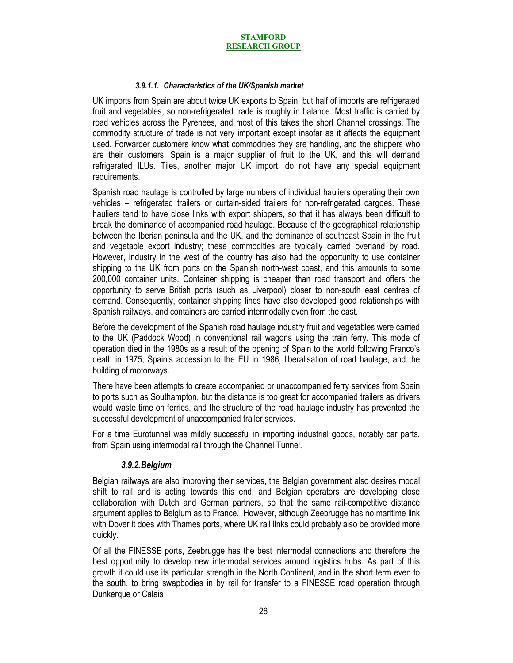### *3.9.1.1. Characteristics of the UK/Spanish market*

UK imports from Spain are about twice UK exports to Spain, but half of imports are refrigerated fruit and vegetables, so non-refrigerated trade is roughly in balance. Most traffic is carried by road vehicles across the Pyrenees, and most of this takes the short Channel crossings. The commodity structure of trade is not very important except insofar as it affects the equipment used. Forwarder customers know what commodities they are handling, and the shippers who are their customers. Spain is a major supplier of fruit to the UK, and this will demand refrigerated ILUs. Tiles, another major UK import, do not have any special equipment requirements.

Spanish road haulage is controlled by large numbers of individual hauliers operating their own vehicles – refrigerated trailers or curtain-sided trailers for non-refrigerated cargoes. These hauliers tend to have close links with export shippers, so that it has always been difficult to break the dominance of accompanied road haulage. Because of the geographical relationship between the Iberian peninsula and the UK, and the dominance of southeast Spain in the fruit and vegetable export industry; these commodities are typically carried overland by road. However, industry in the west of the country has also had the opportunity to use container shipping to the UK from ports on the Spanish north-west coast, and this amounts to some 200,000 container units. Container shipping is cheaper than road transport and offers the opportunity to serve British ports (such as Liverpool) closer to non-south east centres of demand. Consequently, container shipping lines have also developed good relationships with Spanish railways, and containers are carried intermodally even from the east.

Before the development of the Spanish road haulage industry fruit and vegetables were carried to the UK (Paddock Wood) in conventional rail wagons using the train ferry. This mode of operation died in the 1980s as a result of the opening of Spain to the world following Franco's death in 1975, Spain's accession to the EU in 1986, liberalisation of road haulage, and the building of motorways.

There have been attempts to create accompanied or unaccompanied ferry services from Spain to ports such as Southampton, but the distance is too great for accompanied trailers as drivers would waste time on ferries, and the structure of the road haulage industry has prevented the successful development of unaccompanied trailer services.

For a time Eurotunnel was mildly successful in importing industrial goods, notably car parts, from Spain using intermodal rail through the Channel Tunnel.

### *3.9.2.Belgium*

Belgian railways are also improving their services, the Belgian government also desires modal shift to rail and is acting towards this end, and Belgian operators are developing close collaboration with Dutch and German partners, so that the same rail-competitive distance argument applies to Belgium as to France. However, although Zeebrugge has no maritime link with Dover it does with Thames ports, where UK rail links could probably also be provided more quickly.

Of all the FINESSE ports, Zeebrugge has the best intermodal connections and therefore the best opportunity to develop new intermodal services around logistics hubs. As part of this growth it could use its particular strength in the North Continent, and in the short term even to the south, to bring swapbodies in by rail for transfer to a FINESSE road operation through Dunkerque or Calais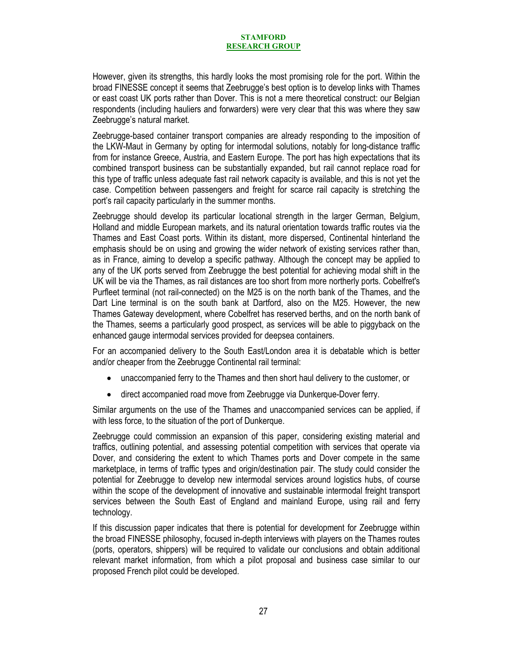However, given its strengths, this hardly looks the most promising role for the port. Within the broad FINESSE concept it seems that Zeebrugge's best option is to develop links with Thames or east coast UK ports rather than Dover. This is not a mere theoretical construct: our Belgian respondents (including hauliers and forwarders) were very clear that this was where they saw Zeebrugge's natural market.

Zeebrugge-based container transport companies are already responding to the imposition of the LKW-Maut in Germany by opting for intermodal solutions, notably for long-distance traffic from for instance Greece, Austria, and Eastern Europe. The port has high expectations that its combined transport business can be substantially expanded, but rail cannot replace road for this type of traffic unless adequate fast rail network capacity is available, and this is not yet the case. Competition between passengers and freight for scarce rail capacity is stretching the port's rail capacity particularly in the summer months.

Zeebrugge should develop its particular locational strength in the larger German, Belgium, Holland and middle European markets, and its natural orientation towards traffic routes via the Thames and East Coast ports. Within its distant, more dispersed, Continental hinterland the emphasis should be on using and growing the wider network of existing services rather than, as in France, aiming to develop a specific pathway. Although the concept may be applied to any of the UK ports served from Zeebrugge the best potential for achieving modal shift in the UK will be via the Thames, as rail distances are too short from more northerly ports. Cobelfret's Purfleet terminal (not rail-connected) on the M25 is on the north bank of the Thames, and the Dart Line terminal is on the south bank at Dartford, also on the M25. However, the new Thames Gateway development, where Cobelfret has reserved berths, and on the north bank of the Thames, seems a particularly good prospect, as services will be able to piggyback on the enhanced gauge intermodal services provided for deepsea containers.

For an accompanied delivery to the South East/London area it is debatable which is better and/or cheaper from the Zeebrugge Continental rail terminal:

- unaccompanied ferry to the Thames and then short haul delivery to the customer, or
- direct accompanied road move from Zeebrugge via Dunkerque-Dover ferry.

Similar arguments on the use of the Thames and unaccompanied services can be applied, if with less force, to the situation of the port of Dunkerque.

Zeebrugge could commission an expansion of this paper, considering existing material and traffics, outlining potential, and assessing potential competition with services that operate via Dover, and considering the extent to which Thames ports and Dover compete in the same marketplace, in terms of traffic types and origin/destination pair. The study could consider the potential for Zeebrugge to develop new intermodal services around logistics hubs, of course within the scope of the development of innovative and sustainable intermodal freight transport services between the South East of England and mainland Europe, using rail and ferry technology.

If this discussion paper indicates that there is potential for development for Zeebrugge within the broad FINESSE philosophy, focused in-depth interviews with players on the Thames routes (ports, operators, shippers) will be required to validate our conclusions and obtain additional relevant market information, from which a pilot proposal and business case similar to our proposed French pilot could be developed.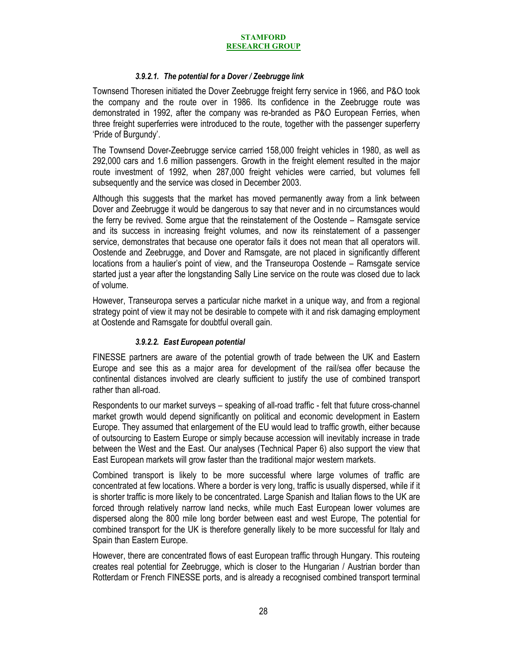### *3.9.2.1. The potential for a Dover / Zeebrugge link*

Townsend Thoresen initiated the Dover Zeebrugge freight ferry service in 1966, and P&O took the company and the route over in 1986. Its confidence in the Zeebrugge route was demonstrated in 1992, after the company was re-branded as P&O European Ferries, when three freight superferries were introduced to the route, together with the passenger superferry 'Pride of Burgundy'.

The Townsend Dover-Zeebrugge service carried 158,000 freight vehicles in 1980, as well as 292,000 cars and 1.6 million passengers. Growth in the freight element resulted in the major route investment of 1992, when 287,000 freight vehicles were carried, but volumes fell subsequently and the service was closed in December 2003.

Although this suggests that the market has moved permanently away from a link between Dover and Zeebrugge it would be dangerous to say that never and in no circumstances would the ferry be revived. Some argue that the reinstatement of the Oostende – Ramsgate service and its success in increasing freight volumes, and now its reinstatement of a passenger service, demonstrates that because one operator fails it does not mean that all operators will. Oostende and Zeebrugge, and Dover and Ramsgate, are not placed in significantly different locations from a haulier's point of view, and the Transeuropa Oostende – Ramsgate service started just a year after the longstanding Sally Line service on the route was closed due to lack of volume.

However, Transeuropa serves a particular niche market in a unique way, and from a regional strategy point of view it may not be desirable to compete with it and risk damaging employment at Oostende and Ramsgate for doubtful overall gain.

### *3.9.2.2. East European potential*

FINESSE partners are aware of the potential growth of trade between the UK and Eastern Europe and see this as a major area for development of the rail/sea offer because the continental distances involved are clearly sufficient to justify the use of combined transport rather than all-road.

Respondents to our market surveys – speaking of all-road traffic - felt that future cross-channel market growth would depend significantly on political and economic development in Eastern Europe. They assumed that enlargement of the EU would lead to traffic growth, either because of outsourcing to Eastern Europe or simply because accession will inevitably increase in trade between the West and the East. Our analyses (Technical Paper 6) also support the view that East European markets will grow faster than the traditional major western markets.

Combined transport is likely to be more successful where large volumes of traffic are concentrated at few locations. Where a border is very long, traffic is usually dispersed, while if it is shorter traffic is more likely to be concentrated. Large Spanish and Italian flows to the UK are forced through relatively narrow land necks, while much East European lower volumes are dispersed along the 800 mile long border between east and west Europe, The potential for combined transport for the UK is therefore generally likely to be more successful for Italy and Spain than Eastern Europe.

However, there are concentrated flows of east European traffic through Hungary. This routeing creates real potential for Zeebrugge, which is closer to the Hungarian / Austrian border than Rotterdam or French FINESSE ports, and is already a recognised combined transport terminal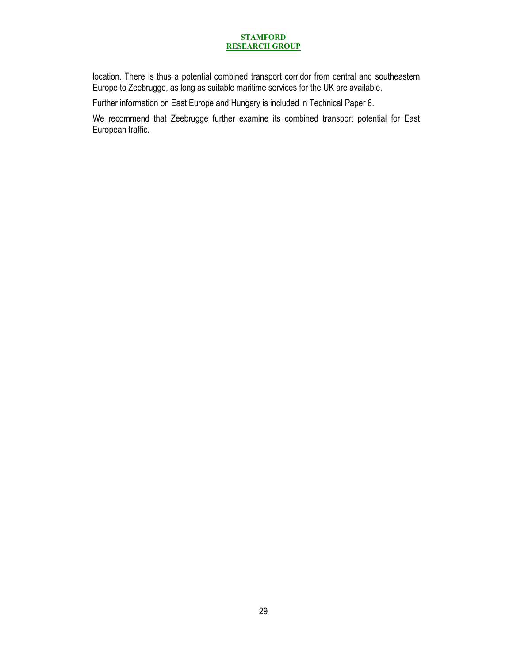location. There is thus a potential combined transport corridor from central and southeastern Europe to Zeebrugge, as long as suitable maritime services for the UK are available.

Further information on East Europe and Hungary is included in Technical Paper 6.

We recommend that Zeebrugge further examine its combined transport potential for East European traffic.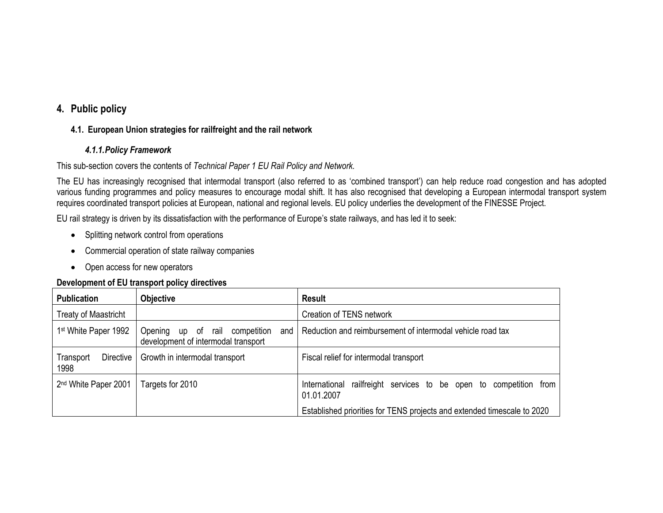# **4. Public policy**

# **4.1. European Union strategies for railfreight and the rail network**

# *4.1.1.Policy Framework*

This sub-section covers the contents of *Technical Paper 1 EU Rail Policy and Network.*

The EU has increasingly recognised that intermodal transport (also referred to as 'combined transport') can help reduce road congestion and has adopted various funding programmes and policy measures to encourage modal shift. It has also recognised that developing a European intermodal transport system requires coordinated transport policies at European, national and regional levels. EU policy underlies the development of the FINESSE Project.

EU rail strategy is driven by its dissatisfaction with the performance of Europe's state railways, and has led it to seek:

- Splitting network control from operations
- Commercial operation of state railway companies
- Open access for new operators

# **Development of EU transport policy directives**

| <b>Publication</b>               | Objective                                                                       | <b>Result</b>                                                                      |  |
|----------------------------------|---------------------------------------------------------------------------------|------------------------------------------------------------------------------------|--|
| <b>Treaty of Maastricht</b>      |                                                                                 | Creation of TENS network                                                           |  |
| 1st White Paper 1992             | Opening<br>up of rail competition<br>and<br>development of intermodal transport | Reduction and reimbursement of intermodal vehicle road tax                         |  |
| Directive<br>Transport<br>1998   | Growth in intermodal transport                                                  | Fiscal relief for intermodal transport                                             |  |
| 2 <sup>nd</sup> White Paper 2001 | Targets for 2010                                                                | railfreight services to be open to competition from<br>International<br>01.01.2007 |  |
|                                  |                                                                                 | Established priorities for TENS projects and extended timescale to 2020            |  |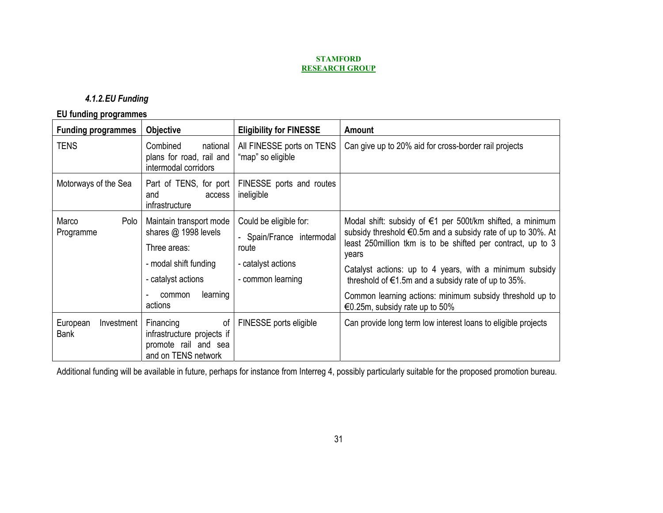# *4.1.2.EU Funding*

# **EU funding programmes**

| <b>Funding programmes</b>             | <b>Objective</b>                                                                                                                                  | <b>Eligibility for FINESSE</b>                                                                          | <b>Amount</b>                                                                                                                                                                                                                                                                                                                                                                                                               |
|---------------------------------------|---------------------------------------------------------------------------------------------------------------------------------------------------|---------------------------------------------------------------------------------------------------------|-----------------------------------------------------------------------------------------------------------------------------------------------------------------------------------------------------------------------------------------------------------------------------------------------------------------------------------------------------------------------------------------------------------------------------|
| <b>TENS</b>                           | Combined<br>national<br>plans for road, rail and<br>intermodal corridors                                                                          | All FINESSE ports on TENS<br>"map" so eligible                                                          | Can give up to 20% aid for cross-border rail projects                                                                                                                                                                                                                                                                                                                                                                       |
| Motorways of the Sea                  | Part of TENS, for port<br>access<br>and<br>infrastructure                                                                                         | FINESSE ports and routes<br>ineligible                                                                  |                                                                                                                                                                                                                                                                                                                                                                                                                             |
| Marco<br>Polo<br>Programme            | Maintain transport mode<br>shares $@$ 1998 levels<br>Three areas:<br>- modal shift funding<br>- catalyst actions<br>learning<br>common<br>actions | Could be eligible for:<br>- Spain/France intermodal<br>route<br>- catalyst actions<br>- common learning | Modal shift: subsidy of €1 per 500t/km shifted, a minimum<br>subsidy threshold €0.5m and a subsidy rate of up to 30%. At<br>least 250 million tkm is to be shifted per contract, up to 3<br>years<br>Catalyst actions: up to 4 years, with a minimum subsidy<br>threshold of $\epsilon$ 1.5m and a subsidy rate of up to 35%.<br>Common learning actions: minimum subsidy threshold up to<br>€0.25m, subsidy rate up to 50% |
| European<br>Investment<br><b>Bank</b> | Financing<br>of<br>infrastructure projects if<br>promote rail and sea<br>and on TENS network                                                      | FINESSE ports eligible                                                                                  | Can provide long term low interest loans to eligible projects                                                                                                                                                                                                                                                                                                                                                               |

Additional funding will be available in future, perhaps for instance from Interreg 4, possibly particularly suitable for the proposed promotion bureau.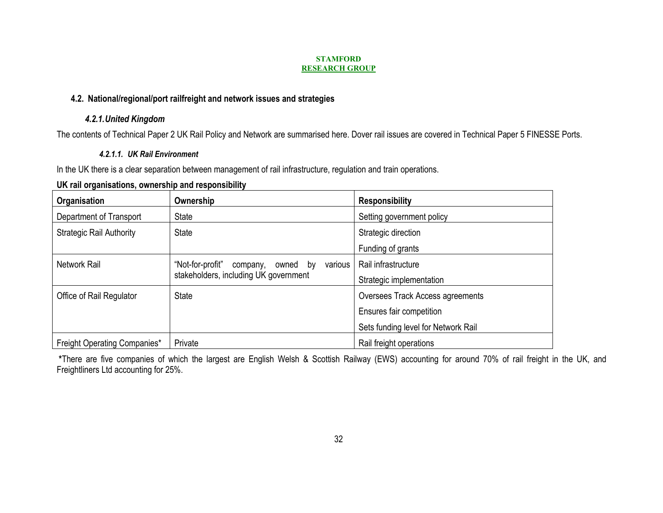# **4.2. National/regional/port railfreight and network issues and strategies**

# *4.2.1.United Kingdom*

The contents of Technical Paper 2 UK Rail Policy and Network are summarised here. Dover rail issues are covered in Technical Paper 5 FINESSE Ports.

# *4.2.1.1. UK Rail Environment*

In the UK there is a clear separation between management of rail infrastructure, regulation and train operations.

# **UK rail organisations, ownership and responsibility**

| Organisation                        | Ownership                                                                                       | <b>Responsibility</b>               |
|-------------------------------------|-------------------------------------------------------------------------------------------------|-------------------------------------|
| Department of Transport             | <b>State</b>                                                                                    | Setting government policy           |
| <b>Strategic Rail Authority</b>     | <b>State</b>                                                                                    | Strategic direction                 |
|                                     |                                                                                                 | Funding of grants                   |
| <b>Network Rail</b>                 | various<br>"Not-for-profit"<br>company,<br>owned<br>by<br>stakeholders, including UK government | Rail infrastructure                 |
|                                     |                                                                                                 | Strategic implementation            |
| Office of Rail Regulator            | <b>State</b>                                                                                    | Oversees Track Access agreements    |
|                                     |                                                                                                 | Ensures fair competition            |
|                                     |                                                                                                 | Sets funding level for Network Rail |
| <b>Freight Operating Companies*</b> | Private                                                                                         | Rail freight operations             |

 **\***There are five companies of which the largest are English Welsh & Scottish Railway (EWS) accounting for around 70% of rail freight in the UK, and Freightliners Ltd accounting for 25%.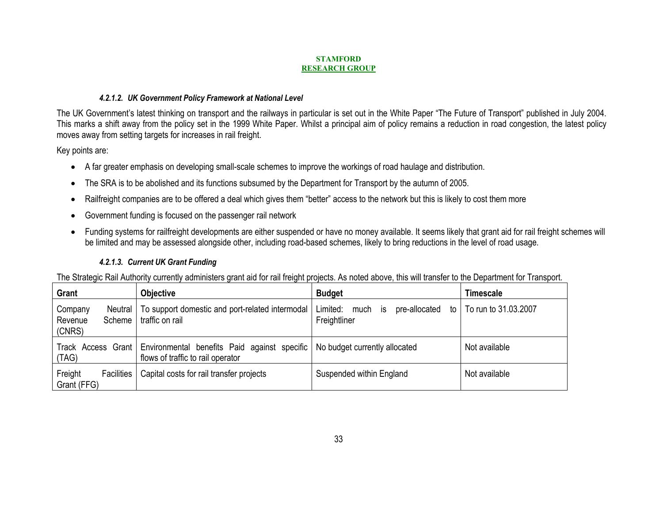### *4.2.1.2. UK Government Policy Framework at National Level*

The UK Government's latest thinking on transport and the railways in particular is set out in the White Paper "The Future of Transport" published in July 2004. This marks a shift away from the policy set in the 1999 White Paper. Whilst a principal aim of policy remains a reduction in road congestion, the latest policy moves away from setting targets for increases in rail freight.

Key points are:

- A far greater emphasis on developing small-scale schemes to improve the workings of road haulage and distribution.
- The SRA is to be abolished and its functions subsumed by the Department for Transport by the autumn of 2005.
- •Railfreight companies are to be offered a deal which gives them "better" access to the network but this is likely to cost them more
- •Government funding is focused on the passenger rail network
- • Funding systems for railfreight developments are either suspended or have no money available. It seems likely that grant aid for rail freight schemes will be limited and may be assessed alongside other, including road-based schemes, likely to bring reductions in the level of road usage.

# *4.2.1.3. Current UK Grant Funding*

The Strategic Rail Authority currently administers grant aid for rail freight projects. As noted above, this will transfer to the Department for Transport.

| Grant                                             | <b>Objective</b>                                                                  | <b>Budget</b>                                                   | Timescale            |
|---------------------------------------------------|-----------------------------------------------------------------------------------|-----------------------------------------------------------------|----------------------|
| Company<br>Neutral<br>Revenue<br>Scheme<br>(CNRS) | To support domestic and port-related intermodal<br>traffic on rail                | Limited:<br>much<br>to I<br>pre-allocated<br>is<br>Freightliner | To run to 31.03.2007 |
| Track Access Grant<br>(TAG)                       | Environmental benefits Paid against specific<br>flows of traffic to rail operator | No budget currently allocated                                   | Not available        |
| Freight<br><b>Facilities</b><br>Grant (FFG)       | Capital costs for rail transfer projects                                          | Suspended within England                                        | Not available        |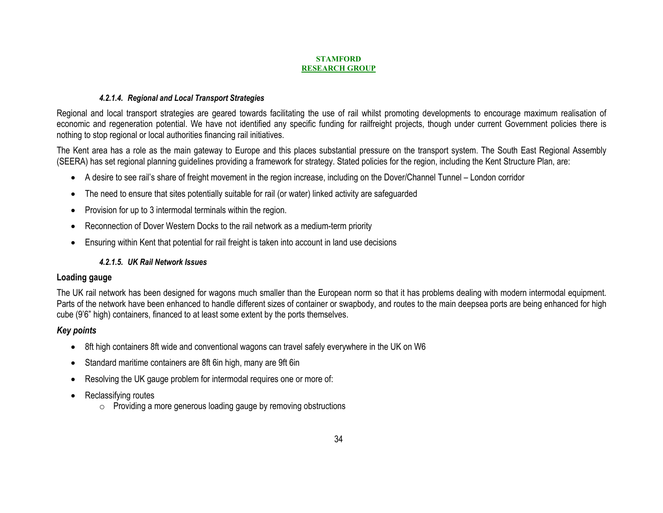### *4.2.1.4. Regional and Local Transport Strategies*

Regional and local transport strategies are geared towards facilitating the use of rail whilst promoting developments to encourage maximum realisation of economic and regeneration potential. We have not identified any specific funding for railfreight projects, though under current Government policies there is nothing to stop regional or local authorities financing rail initiatives.

The Kent area has a role as the main gateway to Europe and this places substantial pressure on the transport system. The South East Regional Assembly (SEERA) has set regional planning guidelines providing a framework for strategy. Stated policies for the region, including the Kent Structure Plan, are:

- A desire to see rail's share of freight movement in the region increase, including on the Dover/Channel Tunnel London corridor
- The need to ensure that sites potentially suitable for rail (or water) linked activity are safeguarded
- •Provision for up to 3 intermodal terminals within the region.
- Reconnection of Dover Western Docks to the rail network as a medium-term priority
- Ensuring within Kent that potential for rail freight is taken into account in land use decisions

# *4.2.1.5. UK Rail Network Issues*

# **Loading gauge**

The UK rail network has been designed for wagons much smaller than the European norm so that it has problems dealing with modern intermodal equipment. Parts of the network have been enhanced to handle different sizes of container or swapbody, and routes to the main deepsea ports are being enhanced for high cube (9'6" high) containers, financed to at least some extent by the ports themselves.

# *Key points*

- 8ft high containers 8ft wide and conventional wagons can travel safely everywhere in the UK on W6
- Standard maritime containers are 8ft 6in high, many are 9ft 6in
- Resolving the UK gauge problem for intermodal requires one or more of:
- • Reclassifying routes
	- $\circ$  Providing a more generous loading gauge by removing obstructions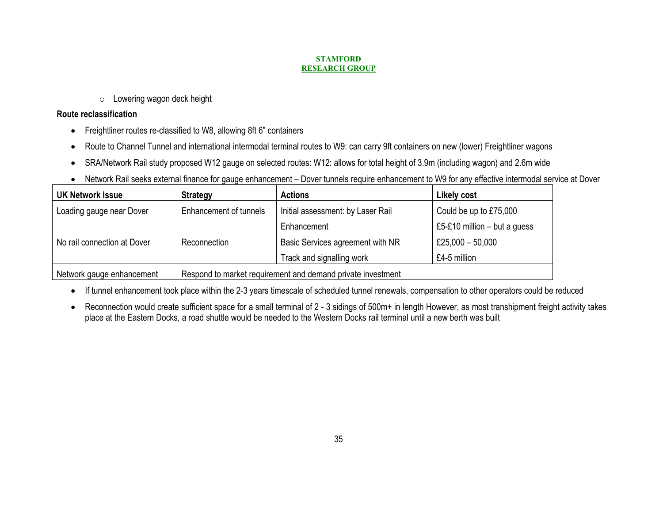$\circ$  Lowering wagon deck height

# **Route reclassification**

- Freightliner routes re-classified to W8, allowing 8ft 6" containers
- •Route to Channel Tunnel and international intermodal terminal routes to W9: can carry 9ft containers on new (lower) Freightliner wagons
- •SRA/Network Rail study proposed W12 gauge on selected routes: W12: allows for total height of 3.9m (including wagon) and 2.6m wide
- Network Rail seeks external finance for gauge enhancement Dover tunnels require enhancement to W9 for any effective intermodal service at Dover

| <b>UK Network Issue</b>                                                                  | <b>Strategy</b>        | <b>Actions</b>                    | <b>Likely cost</b>             |
|------------------------------------------------------------------------------------------|------------------------|-----------------------------------|--------------------------------|
| Loading gauge near Dover                                                                 | Enhancement of tunnels | Initial assessment: by Laser Rail | Could be up to £75,000         |
|                                                                                          |                        | Enhancement                       | £5-£10 million $-$ but a guess |
| No rail connection at Dover                                                              | Reconnection           | Basic Services agreement with NR  | £25,000 $-50,000$              |
|                                                                                          |                        | Track and signalling work         | £4-5 million                   |
| Respond to market requirement and demand private investment<br>Network gauge enhancement |                        |                                   |                                |

- If tunnel enhancement took place within the 2-3 years timescale of scheduled tunnel renewals, compensation to other operators could be reduced
- • Reconnection would create sufficient space for a small terminal of 2 - 3 sidings of 500m+ in length However, as most transhipment freight activity takes place at the Eastern Docks, a road shuttle would be needed to the Western Docks rail terminal until a new berth was built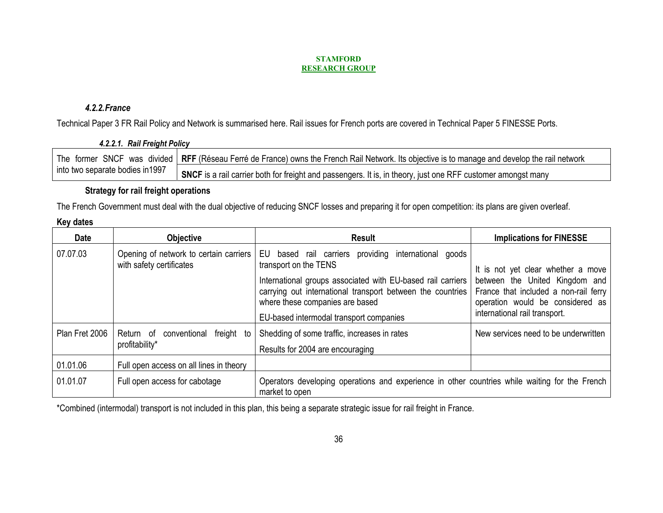# *4.2.2.France*

Technical Paper 3 FR Rail Policy and Network is summarised here. Rail issues for French ports are covered in Technical Paper 5 FINESSE Ports.

| 4.2.2.1. Rail Freight Policy     |                                                                                                                                                |
|----------------------------------|------------------------------------------------------------------------------------------------------------------------------------------------|
|                                  | The former SNCF was divided RFF (Réseau Ferré de France) owns the French Rail Network. Its objective is to manage and develop the rail network |
| into two separate bodies in 1997 | SNCF is a rail carrier both for freight and passengers. It is, in theory, just one RFF customer amongst many                                   |

# **Strategy for rail freight operations**

The French Government must deal with the dual objective of reducing SNCF losses and preparing it for open competition: its plans are given overleaf.

| <b>Date</b>    | <b>Objective</b>                                                   | Result                                                                                                                                                                                                                                                                                         | <b>Implications for FINESSE</b>                                                                                                                                                    |
|----------------|--------------------------------------------------------------------|------------------------------------------------------------------------------------------------------------------------------------------------------------------------------------------------------------------------------------------------------------------------------------------------|------------------------------------------------------------------------------------------------------------------------------------------------------------------------------------|
| 07.07.03       | Opening of network to certain carriers<br>with safety certificates | providing international goods<br>based rail carriers<br>EU<br>transport on the TENS<br>International groups associated with EU-based rail carriers<br>carrying out international transport between the countries<br>where these companies are based<br>EU-based intermodal transport companies | It is not yet clear whether a move<br>between the United Kingdom and<br>France that included a non-rail ferry<br>operation would be considered as<br>international rail transport. |
| Plan Fret 2006 | freight to<br>Return of<br>conventional<br>profitability*          | Shedding of some traffic, increases in rates<br>Results for 2004 are encouraging                                                                                                                                                                                                               | New services need to be underwritten                                                                                                                                               |
| 01.01.06       | Full open access on all lines in theory                            |                                                                                                                                                                                                                                                                                                |                                                                                                                                                                                    |
| 01.01.07       | Full open access for cabotage                                      | Operators developing operations and experience in other countries while waiting for the French<br>market to open                                                                                                                                                                               |                                                                                                                                                                                    |

\*Combined (intermodal) transport is not included in this plan, this being a separate strategic issue for rail freight in France.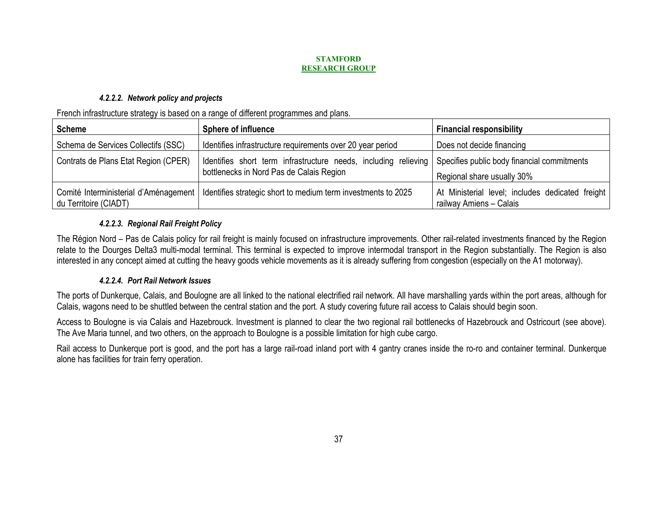# *4.2.2.2. Network policy and projects*

French infrastructure strategy is based on a range of different programmes and plans.

| <b>Scheme</b>                                                  | <b>Sphere of influence</b>                                                                                  | <b>Financial responsibility</b>                                             |
|----------------------------------------------------------------|-------------------------------------------------------------------------------------------------------------|-----------------------------------------------------------------------------|
| Schema de Services Collectifs (SSC)                            | Identifies infrastructure requirements over 20 year period                                                  | Does not decide financing                                                   |
| Contrats de Plans Etat Region (CPER)                           | Identifies short term infrastructure needs, including relieving<br>bottlenecks in Nord Pas de Calais Region | Specifies public body financial commitments<br>Regional share usually 30%   |
| Comité Interministerial d'Aménagement<br>du Territoire (CIADT) | Identifies strategic short to medium term investments to 2025                                               | At Ministerial level; includes dedicated freight<br>railway Amiens - Calais |

# *4.2.2.3. Regional Rail Freight Policy*

The Région Nord – Pas de Calais policy for rail freight is mainly focused on infrastructure improvements. Other rail-related investments financed by the Region relate to the Dourges Delta3 multi-modal terminal. This terminal is expected to improve intermodal transport in the Region substantially. The Region is also interested in any concept aimed at cutting the heavy goods vehicle movements as it is already suffering from congestion (especially on the A1 motorway).

# *4.2.2.4. Port Rail Network Issues*

The ports of Dunkerque, Calais, and Boulogne are all linked to the national electrified rail network. All have marshalling yards within the port areas, although for Calais, wagons need to be shuttled between the central station and the port. A study covering future rail access to Calais should begin soon.

Access to Boulogne is via Calais and Hazebrouck. Investment is planned to clear the two regional rail bottlenecks of Hazebrouck and Ostricourt (see above). The Ave Maria tunnel, and two others, on the approach to Boulogne is a possible limitation for high cube cargo.

Rail access to Dunkerque port is good, and the port has a large rail-road inland port with 4 gantry cranes inside the ro-ro and container terminal. Dunkerque alone has facilities for train ferry operation.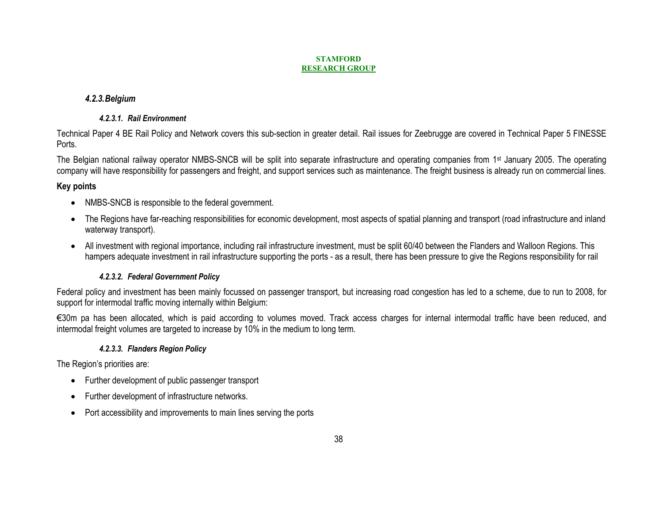# *4.2.3.Belgium*

# *4.2.3.1. Rail Environment*

Technical Paper 4 BE Rail Policy and Network covers this sub-section in greater detail. Rail issues for Zeebrugge are covered in Technical Paper 5 FINESSE Ports.

The Belgian national railway operator NMBS-SNCB will be split into separate infrastructure and operating companies from 1st January 2005. The operating company will have responsibility for passengers and freight, and support services such as maintenance. The freight business is already run on commercial lines.

# **Key points**

- NMBS-SNCB is responsible to the federal government.
- The Regions have far-reaching responsibilities for economic development, most aspects of spatial planning and transport (road infrastructure and inland waterway transport).
- All investment with regional importance, including rail infrastructure investment, must be split 60/40 between the Flanders and Walloon Regions. This hampers adequate investment in rail infrastructure supporting the ports - as a result, there has been pressure to give the Regions responsibility for rail

# *4.2.3.2. Federal Government Policy*

Federal policy and investment has been mainly focussed on passenger transport, but increasing road congestion has led to a scheme, due to run to 2008, for support for intermodal traffic moving internally within Belgium:

€30m pa has been allocated, which is paid according to volumes moved. Track access charges for internal intermodal traffic have been reduced, and intermodal freight volumes are targeted to increase by 10% in the medium to long term.

# *4.2.3.3. Flanders Region Policy*

The Region's priorities are:

- Further development of public passenger transport
- Further development of infrastructure networks.
- $\bullet$ Port accessibility and improvements to main lines serving the ports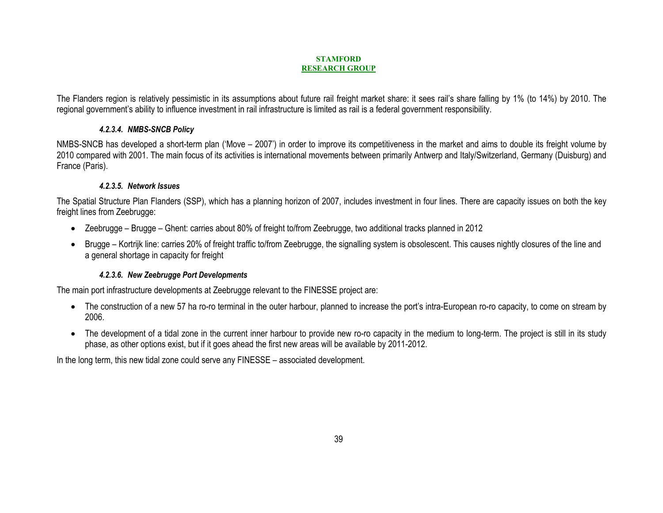The Flanders region is relatively pessimistic in its assumptions about future rail freight market share: it sees rail's share falling by 1% (to 14%) by 2010. The regional government's ability to influence investment in rail infrastructure is limited as rail is a federal government responsibility.

# *4.2.3.4. NMBS-SNCB Policy*

NMBS-SNCB has developed a short-term plan ('Move – 2007') in order to improve its competitiveness in the market and aims to double its freight volume by 2010 compared with 2001. The main focus of its activities is international movements between primarily Antwerp and Italy/Switzerland, Germany (Duisburg) and France (Paris).

### *4.2.3.5. Network Issues*

The Spatial Structure Plan Flanders (SSP), which has a planning horizon of 2007, includes investment in four lines. There are capacity issues on both the key freight lines from Zeebrugge:

- Zeebrugge Brugge Ghent: carries about 80% of freight to/from Zeebrugge, two additional tracks planned in 2012
- • Brugge – Kortrijk line: carries 20% of freight traffic to/from Zeebrugge, the signalling system is obsolescent. This causes nightly closures of the line and a general shortage in capacity for freight

# *4.2.3.6. New Zeebrugge Port Developments*

The main port infrastructure developments at Zeebrugge relevant to the FINESSE project are:

- The construction of a new 57 ha ro-ro terminal in the outer harbour, planned to increase the port's intra-European ro-ro capacity, to come on stream by 2006.
- The development of a tidal zone in the current inner harbour to provide new ro-ro capacity in the medium to long-term. The project is still in its study phase, as other options exist, but if it goes ahead the first new areas will be available by 2011-2012.

In the long term, this new tidal zone could serve any FINESSE – associated development.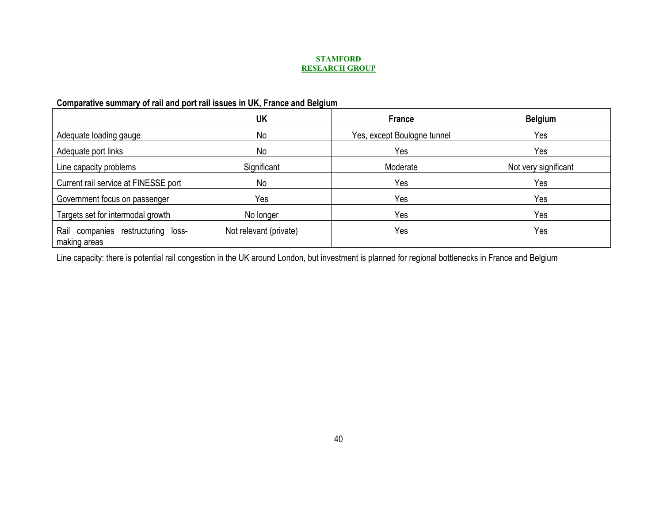# **Comparative summary of rail and port rail issues in UK, France and Belgium**

|                                                       | UK                     | <b>France</b>               | <b>Belgium</b>       |
|-------------------------------------------------------|------------------------|-----------------------------|----------------------|
| Adequate loading gauge                                | No                     | Yes, except Boulogne tunnel | Yes                  |
| Adequate port links                                   | No                     | Yes                         | Yes                  |
| Line capacity problems                                | Significant            | Moderate                    | Not very significant |
| Current rail service at FINESSE port                  | No                     | Yes                         | Yes                  |
| Government focus on passenger                         | Yes                    | Yes                         | Yes                  |
| Targets set for intermodal growth                     | No longer              | Yes                         | Yes                  |
| Rail<br>companies restructuring loss-<br>making areas | Not relevant (private) | Yes                         | Yes                  |

Line capacity: there is potential rail congestion in the UK around London, but investment is planned for regional bottlenecks in France and Belgium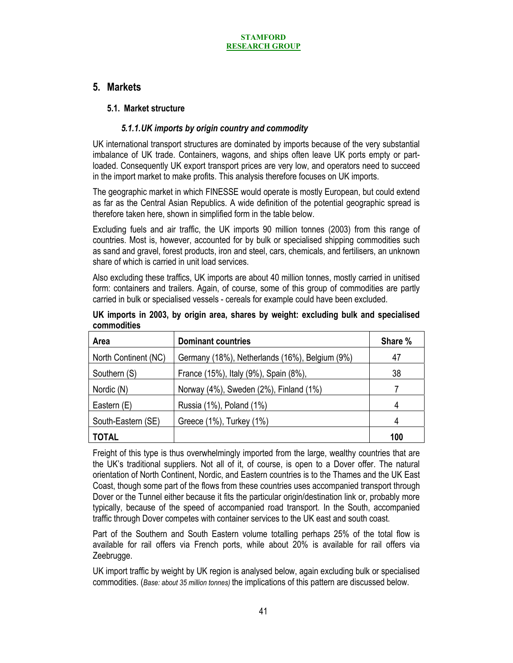# **5. Markets**

# **5.1. Market structure**

# *5.1.1.UK imports by origin country and commodity*

UK international transport structures are dominated by imports because of the very substantial imbalance of UK trade. Containers, wagons, and ships often leave UK ports empty or partloaded. Consequently UK export transport prices are very low, and operators need to succeed in the import market to make profits. This analysis therefore focuses on UK imports.

The geographic market in which FINESSE would operate is mostly European, but could extend as far as the Central Asian Republics. A wide definition of the potential geographic spread is therefore taken here, shown in simplified form in the table below.

Excluding fuels and air traffic, the UK imports 90 million tonnes (2003) from this range of countries. Most is, however, accounted for by bulk or specialised shipping commodities such as sand and gravel, forest products, iron and steel, cars, chemicals, and fertilisers, an unknown share of which is carried in unit load services.

Also excluding these traffics, UK imports are about 40 million tonnes, mostly carried in unitised form: containers and trailers. Again, of course, some of this group of commodities are partly carried in bulk or specialised vessels - cereals for example could have been excluded.

| Area                 | <b>Dominant countries</b>                      | Share % |
|----------------------|------------------------------------------------|---------|
| North Continent (NC) | Germany (18%), Netherlands (16%), Belgium (9%) | 47      |
| Southern (S)         | France (15%), Italy (9%), Spain (8%),          | 38      |
| Nordic (N)           | Norway (4%), Sweden (2%), Finland (1%)         |         |
| Eastern (E)          | Russia (1%), Poland (1%)                       | 4       |
| South-Eastern (SE)   | Greece (1%), Turkey (1%)                       | 4       |
| <b>TOTAL</b>         |                                                | 100     |

**UK imports in 2003, by origin area, shares by weight: excluding bulk and specialised commodities** 

Freight of this type is thus overwhelmingly imported from the large, wealthy countries that are the UK's traditional suppliers. Not all of it, of course, is open to a Dover offer. The natural orientation of North Continent, Nordic, and Eastern countries is to the Thames and the UK East Coast, though some part of the flows from these countries uses accompanied transport through Dover or the Tunnel either because it fits the particular origin/destination link or, probably more typically, because of the speed of accompanied road transport. In the South, accompanied traffic through Dover competes with container services to the UK east and south coast.

Part of the Southern and South Eastern volume totalling perhaps 25% of the total flow is available for rail offers via French ports, while about 20% is available for rail offers via Zeebrugge.

UK import traffic by weight by UK region is analysed below, again excluding bulk or specialised commodities. (*Base: about 35 million tonnes)* the implications of this pattern are discussed below.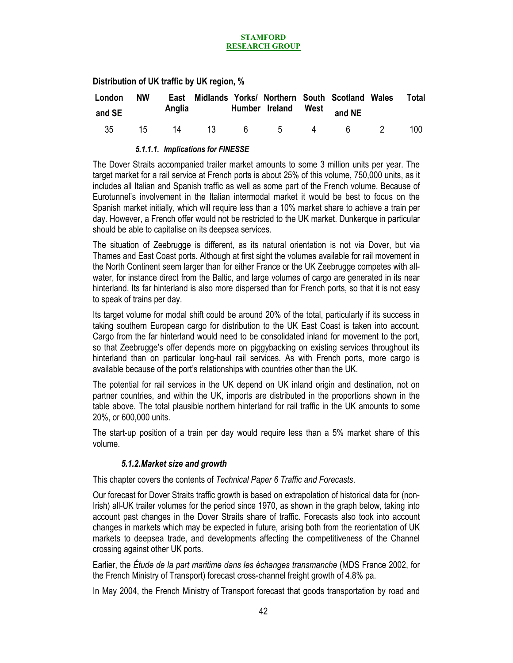**Distribution of UK traffic by UK region, %** 

| London | <b>NW</b> |  |  | East Midlands Yorks/ Northern South Scotland Wales Total |     |
|--------|-----------|--|--|----------------------------------------------------------|-----|
| and SE |           |  |  | Anglia Humber Ireland West and NE                        |     |
| 35     | 15        |  |  | 14 13 6 5 4 6 2                                          | 100 |

### *5.1.1.1. Implications for FINESSE*

The Dover Straits accompanied trailer market amounts to some 3 million units per year. The target market for a rail service at French ports is about 25% of this volume, 750,000 units, as it includes all Italian and Spanish traffic as well as some part of the French volume. Because of Eurotunnel's involvement in the Italian intermodal market it would be best to focus on the Spanish market initially, which will require less than a 10% market share to achieve a train per day. However, a French offer would not be restricted to the UK market. Dunkerque in particular should be able to capitalise on its deepsea services.

The situation of Zeebrugge is different, as its natural orientation is not via Dover, but via Thames and East Coast ports. Although at first sight the volumes available for rail movement in the North Continent seem larger than for either France or the UK Zeebrugge competes with allwater, for instance direct from the Baltic, and large volumes of cargo are generated in its near hinterland. Its far hinterland is also more dispersed than for French ports, so that it is not easy to speak of trains per day.

Its target volume for modal shift could be around 20% of the total, particularly if its success in taking southern European cargo for distribution to the UK East Coast is taken into account. Cargo from the far hinterland would need to be consolidated inland for movement to the port, so that Zeebrugge's offer depends more on piggybacking on existing services throughout its hinterland than on particular long-haul rail services. As with French ports, more cargo is available because of the port's relationships with countries other than the UK.

The potential for rail services in the UK depend on UK inland origin and destination, not on partner countries, and within the UK, imports are distributed in the proportions shown in the table above. The total plausible northern hinterland for rail traffic in the UK amounts to some 20%, or 600,000 units.

The start-up position of a train per day would require less than a 5% market share of this volume.

### *5.1.2.Market size and growth*

This chapter covers the contents of *Technical Paper 6 Traffic and Forecasts*.

Our forecast for Dover Straits traffic growth is based on extrapolation of historical data for (non-Irish) all-UK trailer volumes for the period since 1970, as shown in the graph below, taking into account past changes in the Dover Straits share of traffic. Forecasts also took into account changes in markets which may be expected in future, arising both from the reorientation of UK markets to deepsea trade, and developments affecting the competitiveness of the Channel crossing against other UK ports.

Earlier, the *Étude de la part maritime dans les échanges transmanche* (MDS France 2002, for the French Ministry of Transport) forecast cross-channel freight growth of 4.8% pa.

In May 2004, the French Ministry of Transport forecast that goods transportation by road and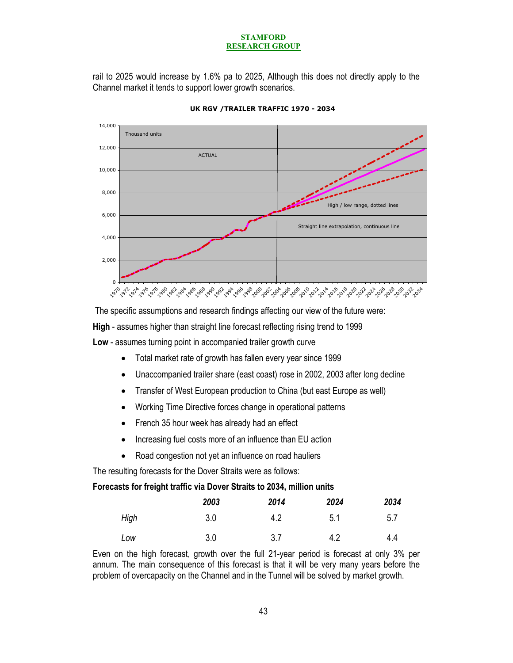rail to 2025 would increase by 1.6% pa to 2025, Although this does not directly apply to the Channel market it tends to support lower growth scenarios.



**UK RGV /TRAILER TRAFFIC 1970 - 2034**

 The specific assumptions and research findings affecting our view of the future were: **High** - assumes higher than straight line forecast reflecting rising trend to 1999 **Low** - assumes turning point in accompanied trailer growth curve

- Total market rate of growth has fallen every year since 1999
- Unaccompanied trailer share (east coast) rose in 2002, 2003 after long decline
- Transfer of West European production to China (but east Europe as well)
- Working Time Directive forces change in operational patterns
- French 35 hour week has already had an effect
- Increasing fuel costs more of an influence than EU action
- Road congestion not yet an influence on road hauliers

The resulting forecasts for the Dover Straits were as follows:

#### **Forecasts for freight traffic via Dover Straits to 2034, million units**

|      | 2003 | 2014 | 2024 | 2034 |
|------|------|------|------|------|
| High | 3.0  | 4.2  | 5.1  | 5.7  |
| Low  | 3.0  | 3.7  | 4.2  | 4.4  |

Even on the high forecast, growth over the full 21-year period is forecast at only 3% per annum. The main consequence of this forecast is that it will be very many years before the problem of overcapacity on the Channel and in the Tunnel will be solved by market growth.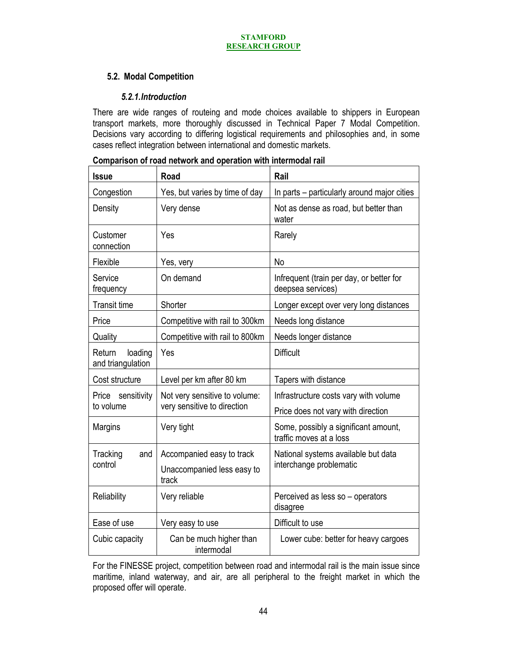# **5.2. Modal Competition**

# *5.2.1.Introduction*

There are wide ranges of routeing and mode choices available to shippers in European transport markets, more thoroughly discussed in Technical Paper 7 Modal Competition. Decisions vary according to differing logistical requirements and philosophies and, in some cases reflect integration between international and domestic markets.

|  |  |  | Comparison of road network and operation with intermodal rail |  |
|--|--|--|---------------------------------------------------------------|--|
|  |  |  |                                                               |  |

| <b>Issue</b>                           | Road                                                         | Rail                                                                        |
|----------------------------------------|--------------------------------------------------------------|-----------------------------------------------------------------------------|
| Congestion                             | Yes, but varies by time of day                               | In parts – particularly around major cities                                 |
| Density                                | Very dense                                                   | Not as dense as road, but better than<br>water                              |
| Customer<br>connection                 | Yes                                                          | Rarely                                                                      |
| Flexible                               | Yes, very                                                    | <b>No</b>                                                                   |
| Service<br>frequency                   | On demand                                                    | Infrequent (train per day, or better for<br>deepsea services)               |
| <b>Transit time</b>                    | Shorter                                                      | Longer except over very long distances                                      |
| Price                                  | Competitive with rail to 300km                               | Needs long distance                                                         |
| Quality                                | Competitive with rail to 800km                               | Needs longer distance                                                       |
| loading<br>Return<br>and triangulation | Yes                                                          | <b>Difficult</b>                                                            |
| Cost structure                         | Level per km after 80 km                                     | Tapers with distance                                                        |
| Price sensitivity<br>to volume         | Not very sensitive to volume:<br>very sensitive to direction | Infrastructure costs vary with volume<br>Price does not vary with direction |
| Margins                                | Very tight                                                   | Some, possibly a significant amount,<br>traffic moves at a loss             |
| Tracking<br>and                        | Accompanied easy to track                                    | National systems available but data                                         |
| control                                | Unaccompanied less easy to<br>track                          | interchange problematic                                                     |
| Reliability                            | Very reliable                                                | Perceived as less so - operators<br>disagree                                |
| Ease of use                            | Very easy to use                                             | Difficult to use                                                            |
| Cubic capacity                         | Can be much higher than<br>intermodal                        | Lower cube: better for heavy cargoes                                        |

For the FINESSE project, competition between road and intermodal rail is the main issue since maritime, inland waterway, and air, are all peripheral to the freight market in which the proposed offer will operate.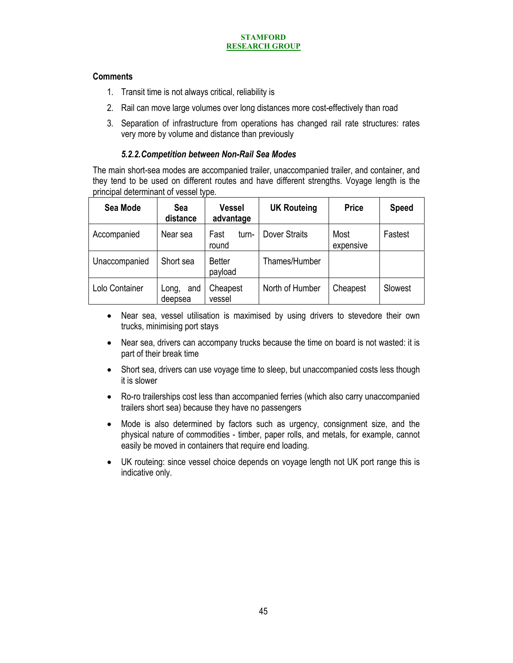# **Comments**

- 1. Transit time is not always critical, reliability is
- 2. Rail can move large volumes over long distances more cost-effectively than road
- 3. Separation of infrastructure from operations has changed rail rate structures: rates very more by volume and distance than previously

# *5.2.2.Competition between Non-Rail Sea Modes*

The main short-sea modes are accompanied trailer, unaccompanied trailer, and container, and they tend to be used on different routes and have different strengths. Voyage length is the principal determinant of vessel type.

| Sea Mode       | Sea<br>distance         | <b>Vessel</b><br>advantage | <b>UK Routeing</b>   | <b>Price</b>      | <b>Speed</b> |
|----------------|-------------------------|----------------------------|----------------------|-------------------|--------------|
| Accompanied    | Near sea                | Fast<br>turn-<br>round     | <b>Dover Straits</b> | Most<br>expensive | Fastest      |
| Unaccompanied  | Short sea               | <b>Better</b><br>payload   | Thames/Humber        |                   |              |
| Lolo Container | and<br>Long,<br>deepsea | Cheapest<br>vessel         | North of Humber      | Cheapest          | Slowest      |

- Near sea, vessel utilisation is maximised by using drivers to stevedore their own trucks, minimising port stays
- Near sea, drivers can accompany trucks because the time on board is not wasted: it is part of their break time
- Short sea, drivers can use voyage time to sleep, but unaccompanied costs less though it is slower
- Ro-ro trailerships cost less than accompanied ferries (which also carry unaccompanied trailers short sea) because they have no passengers
- Mode is also determined by factors such as urgency, consignment size, and the physical nature of commodities - timber, paper rolls, and metals, for example, cannot easily be moved in containers that require end loading.
- UK routeing: since vessel choice depends on voyage length not UK port range this is indicative only.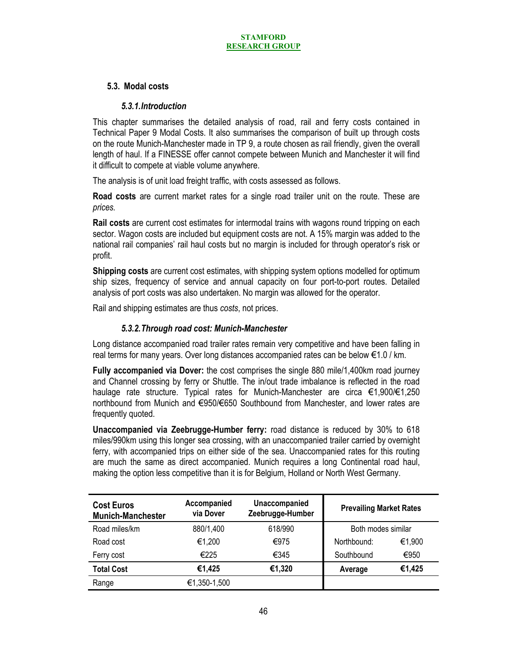# **5.3. Modal costs**

### *5.3.1.Introduction*

This chapter summarises the detailed analysis of road, rail and ferry costs contained in Technical Paper 9 Modal Costs. It also summarises the comparison of built up through costs on the route Munich-Manchester made in TP 9, a route chosen as rail friendly, given the overall length of haul. If a FINESSE offer cannot compete between Munich and Manchester it will find it difficult to compete at viable volume anywhere.

The analysis is of unit load freight traffic, with costs assessed as follows.

**Road costs** are current market rates for a single road trailer unit on the route. These are *prices.*

**Rail costs** are current cost estimates for intermodal trains with wagons round tripping on each sector. Wagon costs are included but equipment costs are not. A 15% margin was added to the national rail companies' rail haul costs but no margin is included for through operator's risk or profit.

**Shipping costs** are current cost estimates, with shipping system options modelled for optimum ship sizes, frequency of service and annual capacity on four port-to-port routes. Detailed analysis of port costs was also undertaken. No margin was allowed for the operator.

Rail and shipping estimates are thus *costs*, not prices.

# *5.3.2.Through road cost: Munich-Manchester*

Long distance accompanied road trailer rates remain very competitive and have been falling in real terms for many years. Over long distances accompanied rates can be below €1.0 / km.

**Fully accompanied via Dover:** the cost comprises the single 880 mile/1,400km road journey and Channel crossing by ferry or Shuttle. The in/out trade imbalance is reflected in the road haulage rate structure. Typical rates for Munich-Manchester are circa €1,900/€1,250 northbound from Munich and €950/€650 Southbound from Manchester, and lower rates are frequently quoted.

**Unaccompanied via Zeebrugge-Humber ferry:** road distance is reduced by 30% to 618 miles/990km using this longer sea crossing, with an unaccompanied trailer carried by overnight ferry, with accompanied trips on either side of the sea. Unaccompanied rates for this routing are much the same as direct accompanied. Munich requires a long Continental road haul, making the option less competitive than it is for Belgium, Holland or North West Germany.

| <b>Cost Euros</b><br><b>Munich-Manchester</b> | Accompanied<br>via Dover | Unaccompanied<br>Zeebrugge-Humber | <b>Prevailing Market Rates</b> |        |
|-----------------------------------------------|--------------------------|-----------------------------------|--------------------------------|--------|
| Road miles/km                                 | 880/1,400                | 618/990                           | Both modes similar             |        |
| Road cost                                     | €1,200                   | €975                              | Northbound:                    | €1,900 |
| Ferry cost                                    | €225                     | €345                              | Southbound                     | €950   |
| <b>Total Cost</b>                             | €1,425                   | €1,320                            | Average                        | €1,425 |
| Range                                         | €1,350-1,500             |                                   |                                |        |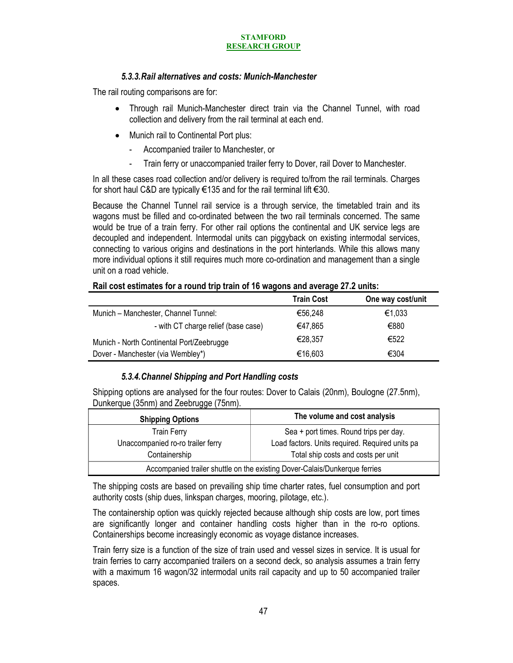# *5.3.3.Rail alternatives and costs: Munich-Manchester*

The rail routing comparisons are for:

- Through rail Munich-Manchester direct train via the Channel Tunnel, with road collection and delivery from the rail terminal at each end.
- Munich rail to Continental Port plus:
	- Accompanied trailer to Manchester, or
	- Train ferry or unaccompanied trailer ferry to Dover, rail Dover to Manchester.

In all these cases road collection and/or delivery is required to/from the rail terminals. Charges for short haul C&D are typically €135 and for the rail terminal lift €30.

Because the Channel Tunnel rail service is a through service, the timetabled train and its wagons must be filled and co-ordinated between the two rail terminals concerned. The same would be true of a train ferry. For other rail options the continental and UK service legs are decoupled and independent. Intermodal units can piggyback on existing intermodal services, connecting to various origins and destinations in the port hinterlands. While this allows many more individual options it still requires much more co-ordination and management than a single unit on a road vehicle.

|                                           | <b>Train Cost</b> | One way cost/unit |
|-------------------------------------------|-------------------|-------------------|
| Munich - Manchester, Channel Tunnel:      | €56,248           | €1,033            |
| - with CT charge relief (base case)       | €47.865           | €880              |
| Munich - North Continental Port/Zeebrugge | €28.357           | €522              |
| Dover - Manchester (via Wembley*)         | €16,603           | €304              |

### **Rail cost estimates for a round trip train of 16 wagons and average 27.2 units:**

### *5.3.4.Channel Shipping and Port Handling costs*

Shipping options are analysed for the four routes: Dover to Calais (20nm), Boulogne (27.5nm), Dunkerque (35nm) and Zeebrugge (75nm).

| <b>Shipping Options</b>                                                    | The volume and cost analysis                    |  |
|----------------------------------------------------------------------------|-------------------------------------------------|--|
| <b>Train Ferry</b>                                                         | Sea + port times. Round trips per day.          |  |
| Unaccompanied ro-ro trailer ferry                                          | Load factors. Units required. Required units pa |  |
| Containership                                                              | Total ship costs and costs per unit             |  |
| Accompanied trailer shuttle on the existing Dover-Calais/Dunkerque ferries |                                                 |  |

The shipping costs are based on prevailing ship time charter rates, fuel consumption and port authority costs (ship dues, linkspan charges, mooring, pilotage, etc.).

The containership option was quickly rejected because although ship costs are low, port times are significantly longer and container handling costs higher than in the ro-ro options. Containerships become increasingly economic as voyage distance increases.

Train ferry size is a function of the size of train used and vessel sizes in service. It is usual for train ferries to carry accompanied trailers on a second deck, so analysis assumes a train ferry with a maximum 16 wagon/32 intermodal units rail capacity and up to 50 accompanied trailer spaces.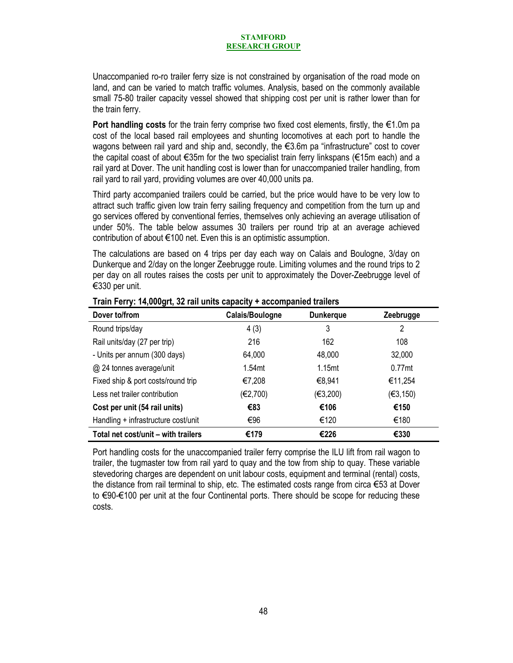Unaccompanied ro-ro trailer ferry size is not constrained by organisation of the road mode on land, and can be varied to match traffic volumes. Analysis, based on the commonly available small 75-80 trailer capacity vessel showed that shipping cost per unit is rather lower than for the train ferry.

**Port handling costs** for the train ferry comprise two fixed cost elements, firstly, the €1.0m pa cost of the local based rail employees and shunting locomotives at each port to handle the wagons between rail yard and ship and, secondly, the €3.6m pa "infrastructure" cost to cover the capital coast of about €35m for the two specialist train ferry linkspans (€15m each) and a rail yard at Dover. The unit handling cost is lower than for unaccompanied trailer handling, from rail yard to rail yard, providing volumes are over 40,000 units pa.

Third party accompanied trailers could be carried, but the price would have to be very low to attract such traffic given low train ferry sailing frequency and competition from the turn up and go services offered by conventional ferries, themselves only achieving an average utilisation of under 50%. The table below assumes 30 trailers per round trip at an average achieved contribution of about €100 net. Even this is an optimistic assumption.

The calculations are based on 4 trips per day each way on Calais and Boulogne, 3/day on Dunkerque and 2/day on the longer Zeebrugge route. Limiting volumes and the round trips to 2 per day on all routes raises the costs per unit to approximately the Dover-Zeebrugge level of €330 per unit.

| Dover to/from                       | Calais/Boulogne    | <b>Dunkerque</b>   | Zeebrugge |
|-------------------------------------|--------------------|--------------------|-----------|
| Round trips/day                     | 4(3)               | 3                  | 2         |
| Rail units/day (27 per trip)        | 216                | 162                | 108       |
| - Units per annum (300 days)        | 64,000             | 48,000             | 32,000    |
| @ 24 tonnes average/unit            | 1.54 <sub>mt</sub> | 1.15 <sub>mt</sub> | $0.77$ mt |
| Fixed ship & port costs/round trip  | €7,208             | €8,941             | €11,254   |
| Less net trailer contribution       | (E2,700)           | (E3,200)           | (€3,150)  |
| Cost per unit (54 rail units)       | €83                | €106               | €150      |
| Handling + infrastructure cost/unit | €96                | €120               | €180      |
| Total net cost/unit – with trailers | €179               | €226               | €330      |

**Train Ferry: 14,000grt, 32 rail units capacity + accompanied trailers** 

Port handling costs for the unaccompanied trailer ferry comprise the ILU lift from rail wagon to trailer, the tugmaster tow from rail yard to quay and the tow from ship to quay. These variable stevedoring charges are dependent on unit labour costs, equipment and terminal (rental) costs, the distance from rail terminal to ship, etc. The estimated costs range from circa €53 at Dover to €90-€100 per unit at the four Continental ports. There should be scope for reducing these costs.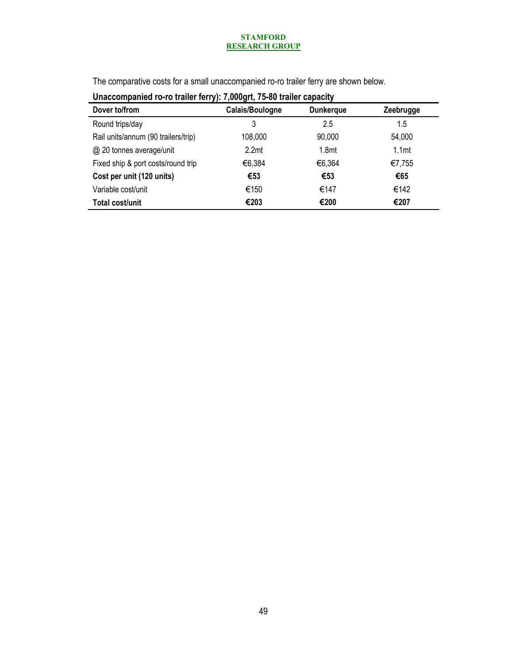The comparative costs for a small unaccompanied ro-ro trailer ferry are shown below.

| 0110000111p011100 TO TO Gallot Tottype Typography ou Gallot Gapaoity |                   |                   |                   |  |  |
|----------------------------------------------------------------------|-------------------|-------------------|-------------------|--|--|
| Dover to/from                                                        | Calais/Boulogne   | <b>Dunkerque</b>  | Zeebrugge         |  |  |
| Round trips/day                                                      | 3                 | 2.5               | 1.5               |  |  |
| Rail units/annum (90 trailers/trip)                                  | 108,000           | 90,000            | 54,000            |  |  |
| @ 20 tonnes average/unit                                             | 2.2 <sub>mt</sub> | 1.8 <sub>mt</sub> | 1.1 <sub>mt</sub> |  |  |
| Fixed ship & port costs/round trip                                   | €6,384            | €6,364            | €7,755            |  |  |
| Cost per unit (120 units)                                            | €53               | €53               | €65               |  |  |
| Variable cost/unit                                                   | €150              | €147              | €142              |  |  |
| Total cost/unit                                                      | €203              | €200              | €207              |  |  |
|                                                                      |                   |                   |                   |  |  |

| Unaccompanied ro-ro trailer ferry): 7,000grt, 75-80 trailer capacity |  |
|----------------------------------------------------------------------|--|
|                                                                      |  |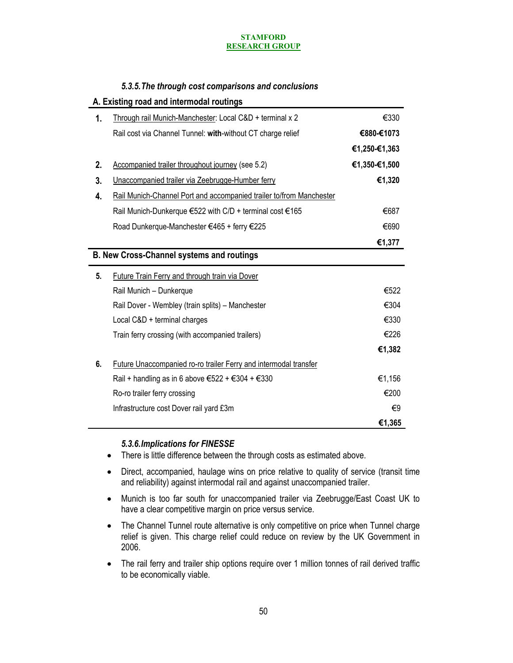# *5.3.5.The through cost comparisons and conclusions*

|    | A. Existing road and intermodal routings                                                                    |               |
|----|-------------------------------------------------------------------------------------------------------------|---------------|
| 1. | Through rail Munich-Manchester: Local C&D + terminal x 2                                                    | €330          |
|    | Rail cost via Channel Tunnel: with-without CT charge relief                                                 | €880-€1073    |
|    |                                                                                                             | €1,250-€1,363 |
| 2. | Accompanied trailer throughout journey (see 5.2)                                                            | €1,350-€1,500 |
| 3. | Unaccompanied trailer via Zeebrugge-Humber ferry                                                            | €1,320        |
| 4. | Rail Munich-Channel Port and accompanied trailer to/from Manchester                                         |               |
|    | Rail Munich-Dunkerque €522 with C/D + terminal cost €165                                                    | €687          |
|    | Road Dunkerque-Manchester €465 + ferry €225                                                                 | €690          |
|    |                                                                                                             | €1,377        |
|    | <b>B. New Cross-Channel systems and routings</b>                                                            |               |
| 5. | Future Train Ferry and through train via Dover                                                              |               |
|    |                                                                                                             |               |
|    | Rail Munich - Dunkerque                                                                                     | €522          |
|    | Rail Dover - Wembley (train splits) - Manchester                                                            | €304          |
|    | Local C&D + terminal charges                                                                                | €330          |
|    | Train ferry crossing (with accompanied trailers)                                                            | €226          |
|    |                                                                                                             | €1,382        |
| 6. | Future Unaccompanied ro-ro trailer Ferry and intermodal transfer                                            |               |
|    | Rail + handling as in 6 above $\text{\textsterling}522 + \text{\textsterling}304 + \text{\textsterling}330$ | €1,156        |
|    | Ro-ro trailer ferry crossing                                                                                | €200          |
|    | Infrastructure cost Dover rail yard £3m                                                                     | €9            |

# *5.3.6.Implications for FINESSE*

- There is little difference between the through costs as estimated above.
- Direct, accompanied, haulage wins on price relative to quality of service (transit time and reliability) against intermodal rail and against unaccompanied trailer.
- Munich is too far south for unaccompanied trailer via Zeebrugge/East Coast UK to have a clear competitive margin on price versus service.
- The Channel Tunnel route alternative is only competitive on price when Tunnel charge relief is given. This charge relief could reduce on review by the UK Government in 2006.
- The rail ferry and trailer ship options require over 1 million tonnes of rail derived traffic to be economically viable.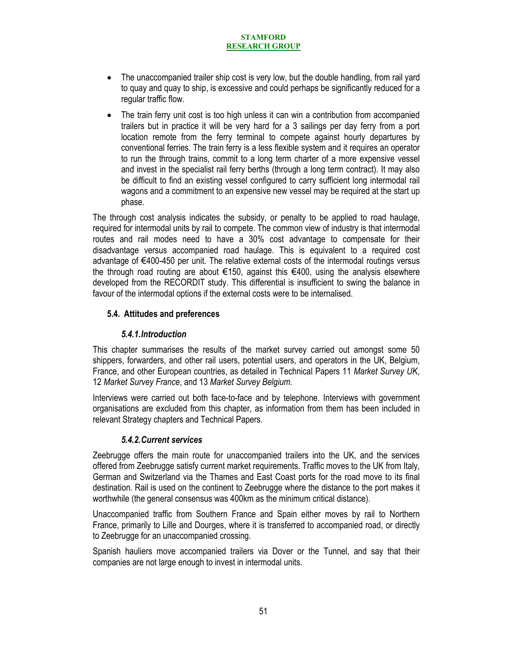- The unaccompanied trailer ship cost is very low, but the double handling, from rail yard to quay and quay to ship, is excessive and could perhaps be significantly reduced for a regular traffic flow.
- The train ferry unit cost is too high unless it can win a contribution from accompanied trailers but in practice it will be very hard for a 3 sailings per day ferry from a port location remote from the ferry terminal to compete against hourly departures by conventional ferries. The train ferry is a less flexible system and it requires an operator to run the through trains, commit to a long term charter of a more expensive vessel and invest in the specialist rail ferry berths (through a long term contract). It may also be difficult to find an existing vessel configured to carry sufficient long intermodal rail wagons and a commitment to an expensive new vessel may be required at the start up phase.

The through cost analysis indicates the subsidy, or penalty to be applied to road haulage, required for intermodal units by rail to compete. The common view of industry is that intermodal routes and rail modes need to have a 30% cost advantage to compensate for their disadvantage versus accompanied road haulage. This is equivalent to a required cost advantage of €400-450 per unit. The relative external costs of the intermodal routings versus the through road routing are about €150, against this €400, using the analysis elsewhere developed from the RECORDIT study. This differential is insufficient to swing the balance in favour of the intermodal options if the external costs were to be internalised.

# **5.4. Attitudes and preferences**

### *5.4.1.Introduction*

This chapter summarises the results of the market survey carried out amongst some 50 shippers, forwarders, and other rail users, potential users, and operators in the UK, Belgium, France, and other European countries, as detailed in Technical Papers 11 *Market Survey UK*, 12 *Market Survey France*, and 13 *Market Survey Belgium*.

Interviews were carried out both face-to-face and by telephone. Interviews with government organisations are excluded from this chapter, as information from them has been included in relevant Strategy chapters and Technical Papers.

### *5.4.2.Current services*

Zeebrugge offers the main route for unaccompanied trailers into the UK, and the services offered from Zeebrugge satisfy current market requirements. Traffic moves to the UK from Italy, German and Switzerland via the Thames and East Coast ports for the road move to its final destination. Rail is used on the continent to Zeebrugge where the distance to the port makes it worthwhile (the general consensus was 400km as the minimum critical distance).

Unaccompanied traffic from Southern France and Spain either moves by rail to Northern France, primarily to Lille and Dourges, where it is transferred to accompanied road, or directly to Zeebrugge for an unaccompanied crossing.

Spanish hauliers move accompanied trailers via Dover or the Tunnel, and say that their companies are not large enough to invest in intermodal units.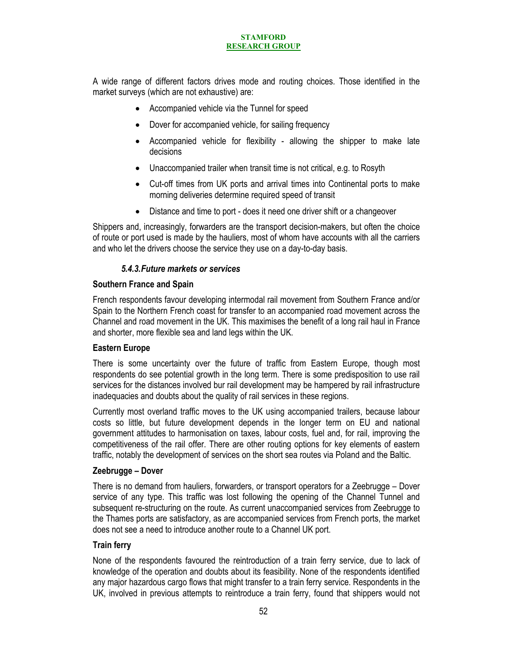A wide range of different factors drives mode and routing choices. Those identified in the market surveys (which are not exhaustive) are:

- Accompanied vehicle via the Tunnel for speed
- Dover for accompanied vehicle, for sailing frequency
- Accompanied vehicle for flexibility allowing the shipper to make late decisions
- Unaccompanied trailer when transit time is not critical, e.g. to Rosyth
- Cut-off times from UK ports and arrival times into Continental ports to make morning deliveries determine required speed of transit
- Distance and time to port does it need one driver shift or a changeover

Shippers and, increasingly, forwarders are the transport decision-makers, but often the choice of route or port used is made by the hauliers, most of whom have accounts with all the carriers and who let the drivers choose the service they use on a day-to-day basis.

# *5.4.3.Future markets or services*

### **Southern France and Spain**

French respondents favour developing intermodal rail movement from Southern France and/or Spain to the Northern French coast for transfer to an accompanied road movement across the Channel and road movement in the UK. This maximises the benefit of a long rail haul in France and shorter, more flexible sea and land legs within the UK.

### **Eastern Europe**

There is some uncertainty over the future of traffic from Eastern Europe, though most respondents do see potential growth in the long term. There is some predisposition to use rail services for the distances involved bur rail development may be hampered by rail infrastructure inadequacies and doubts about the quality of rail services in these regions.

Currently most overland traffic moves to the UK using accompanied trailers, because labour costs so little, but future development depends in the longer term on EU and national government attitudes to harmonisation on taxes, labour costs, fuel and, for rail, improving the competitiveness of the rail offer. There are other routing options for key elements of eastern traffic, notably the development of services on the short sea routes via Poland and the Baltic.

### **Zeebrugge – Dover**

There is no demand from hauliers, forwarders, or transport operators for a Zeebrugge – Dover service of any type. This traffic was lost following the opening of the Channel Tunnel and subsequent re-structuring on the route. As current unaccompanied services from Zeebrugge to the Thames ports are satisfactory, as are accompanied services from French ports, the market does not see a need to introduce another route to a Channel UK port.

### **Train ferry**

None of the respondents favoured the reintroduction of a train ferry service, due to lack of knowledge of the operation and doubts about its feasibility. None of the respondents identified any major hazardous cargo flows that might transfer to a train ferry service. Respondents in the UK, involved in previous attempts to reintroduce a train ferry, found that shippers would not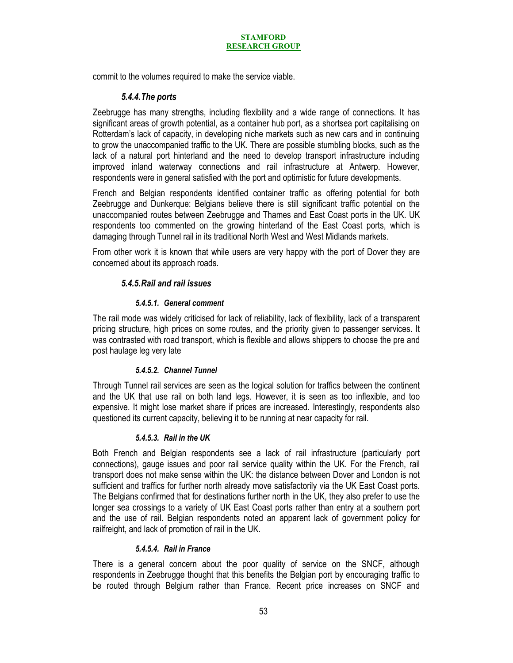commit to the volumes required to make the service viable.

### *5.4.4.The ports*

Zeebrugge has many strengths, including flexibility and a wide range of connections. It has significant areas of growth potential, as a container hub port, as a shortsea port capitalising on Rotterdam's lack of capacity, in developing niche markets such as new cars and in continuing to grow the unaccompanied traffic to the UK. There are possible stumbling blocks, such as the lack of a natural port hinterland and the need to develop transport infrastructure including improved inland waterway connections and rail infrastructure at Antwerp. However, respondents were in general satisfied with the port and optimistic for future developments.

French and Belgian respondents identified container traffic as offering potential for both Zeebrugge and Dunkerque: Belgians believe there is still significant traffic potential on the unaccompanied routes between Zeebrugge and Thames and East Coast ports in the UK. UK respondents too commented on the growing hinterland of the East Coast ports, which is damaging through Tunnel rail in its traditional North West and West Midlands markets.

From other work it is known that while users are very happy with the port of Dover they are concerned about its approach roads.

# *5.4.5.Rail and rail issues*

### *5.4.5.1. General comment*

The rail mode was widely criticised for lack of reliability, lack of flexibility, lack of a transparent pricing structure, high prices on some routes, and the priority given to passenger services. It was contrasted with road transport, which is flexible and allows shippers to choose the pre and post haulage leg very late

### *5.4.5.2. Channel Tunnel*

Through Tunnel rail services are seen as the logical solution for traffics between the continent and the UK that use rail on both land legs. However, it is seen as too inflexible, and too expensive. It might lose market share if prices are increased. Interestingly, respondents also questioned its current capacity, believing it to be running at near capacity for rail.

### *5.4.5.3. Rail in the UK*

Both French and Belgian respondents see a lack of rail infrastructure (particularly port connections), gauge issues and poor rail service quality within the UK. For the French, rail transport does not make sense within the UK: the distance between Dover and London is not sufficient and traffics for further north already move satisfactorily via the UK East Coast ports. The Belgians confirmed that for destinations further north in the UK, they also prefer to use the longer sea crossings to a variety of UK East Coast ports rather than entry at a southern port and the use of rail. Belgian respondents noted an apparent lack of government policy for railfreight, and lack of promotion of rail in the UK.

### *5.4.5.4. Rail in France*

There is a general concern about the poor quality of service on the SNCF, although respondents in Zeebrugge thought that this benefits the Belgian port by encouraging traffic to be routed through Belgium rather than France. Recent price increases on SNCF and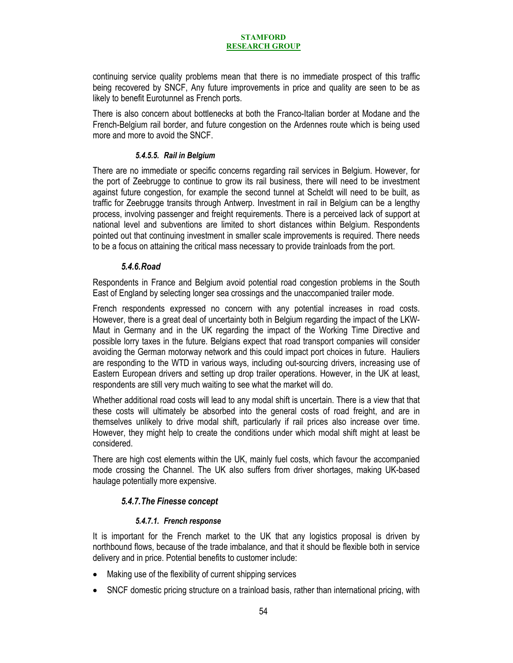continuing service quality problems mean that there is no immediate prospect of this traffic being recovered by SNCF, Any future improvements in price and quality are seen to be as likely to benefit Eurotunnel as French ports.

There is also concern about bottlenecks at both the Franco-Italian border at Modane and the French-Belgium rail border, and future congestion on the Ardennes route which is being used more and more to avoid the SNCF.

### *5.4.5.5. Rail in Belgium*

There are no immediate or specific concerns regarding rail services in Belgium. However, for the port of Zeebrugge to continue to grow its rail business, there will need to be investment against future congestion, for example the second tunnel at Scheldt will need to be built, as traffic for Zeebrugge transits through Antwerp. Investment in rail in Belgium can be a lengthy process, involving passenger and freight requirements. There is a perceived lack of support at national level and subventions are limited to short distances within Belgium. Respondents pointed out that continuing investment in smaller scale improvements is required. There needs to be a focus on attaining the critical mass necessary to provide trainloads from the port.

### *5.4.6.Road*

Respondents in France and Belgium avoid potential road congestion problems in the South East of England by selecting longer sea crossings and the unaccompanied trailer mode.

French respondents expressed no concern with any potential increases in road costs. However, there is a great deal of uncertainty both in Belgium regarding the impact of the LKW-Maut in Germany and in the UK regarding the impact of the Working Time Directive and possible lorry taxes in the future. Belgians expect that road transport companies will consider avoiding the German motorway network and this could impact port choices in future. Hauliers are responding to the WTD in various ways, including out-sourcing drivers, increasing use of Eastern European drivers and setting up drop trailer operations. However, in the UK at least, respondents are still very much waiting to see what the market will do.

Whether additional road costs will lead to any modal shift is uncertain. There is a view that that these costs will ultimately be absorbed into the general costs of road freight, and are in themselves unlikely to drive modal shift, particularly if rail prices also increase over time. However, they might help to create the conditions under which modal shift might at least be considered.

There are high cost elements within the UK, mainly fuel costs, which favour the accompanied mode crossing the Channel. The UK also suffers from driver shortages, making UK-based haulage potentially more expensive.

### *5.4.7.The Finesse concept*

### *5.4.7.1. French response*

It is important for the French market to the UK that any logistics proposal is driven by northbound flows, because of the trade imbalance, and that it should be flexible both in service delivery and in price. Potential benefits to customer include:

- Making use of the flexibility of current shipping services
- SNCF domestic pricing structure on a trainload basis, rather than international pricing, with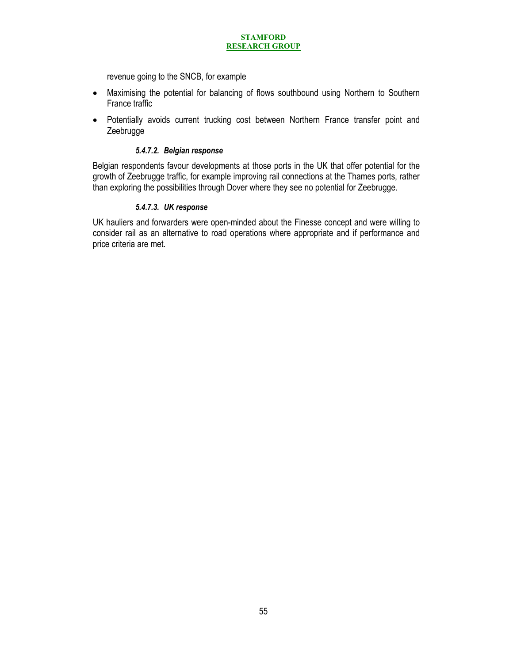revenue going to the SNCB, for example

- Maximising the potential for balancing of flows southbound using Northern to Southern France traffic
- Potentially avoids current trucking cost between Northern France transfer point and Zeebrugge

### *5.4.7.2. Belgian response*

Belgian respondents favour developments at those ports in the UK that offer potential for the growth of Zeebrugge traffic, for example improving rail connections at the Thames ports, rather than exploring the possibilities through Dover where they see no potential for Zeebrugge.

### *5.4.7.3. UK response*

UK hauliers and forwarders were open-minded about the Finesse concept and were willing to consider rail as an alternative to road operations where appropriate and if performance and price criteria are met.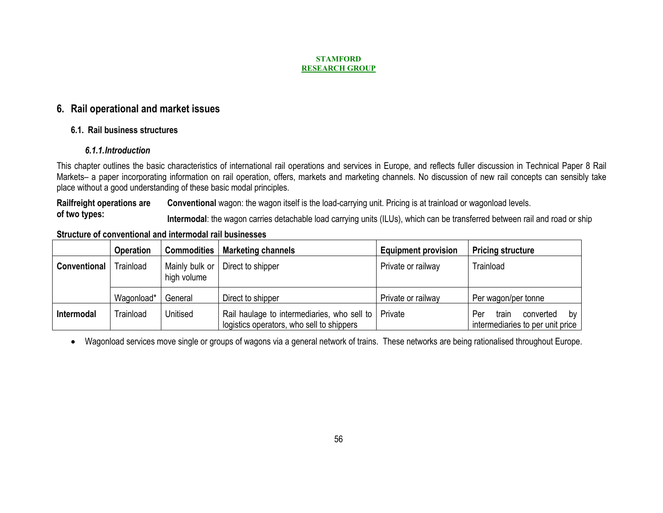# **6. Rail operational and market issues**

# **6.1. Rail business structures**

# *6.1.1.Introduction*

This chapter outlines the basic characteristics of international rail operations and services in Europe, and reflects fuller discussion in Technical Paper 8 Rail Markets– a paper incorporating information on rail operation, offers, markets and marketing channels. No discussion of new rail concepts can sensibly take place without a good understanding of these basic modal principles.

**Railfreight operations are Conventional** wagon: the wagon itself is the load-carrying unit. Pricing is at trainload or wagonload levels. of two types:<br>Intermodal: the wagon carries detachable load carrying units (ILUs), which can be transferred between rail and road or ship

# **Structure of conventional and intermodal rail businesses**

|                     | <b>Operation</b> | <b>Commodities</b>            | <b>Marketing channels</b>                                                                | <b>Equipment provision</b> | <b>Pricing structure</b>                                                         |
|---------------------|------------------|-------------------------------|------------------------------------------------------------------------------------------|----------------------------|----------------------------------------------------------------------------------|
| <b>Conventional</b> | Trainload        | Mainly bulk or<br>high volume | Direct to shipper                                                                        | Private or railway         | Trainload                                                                        |
|                     | Wagonload*       | General                       | Direct to shipper                                                                        | Private or railway         | Per wagon/per tonne                                                              |
| Intermodal          | Trainload        | Unitised                      | Rail haulage to intermediaries, who sell to<br>logistics operators, who sell to shippers | Private                    | Per<br>by <sub>l</sub><br>converted<br>train<br>intermediaries to per unit price |

 $\bullet$ Wagonload services move single or groups of wagons via a general network of trains. These networks are being rationalised throughout Europe.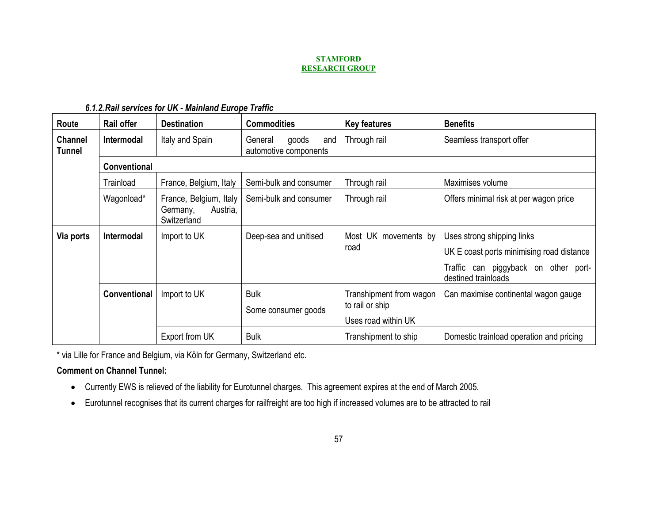| Route                           | Rail offer          | <b>Destination</b>                                            | <b>Commodities</b>                               | <b>Key features</b>                                               | <b>Benefits</b>                                                                                                                        |
|---------------------------------|---------------------|---------------------------------------------------------------|--------------------------------------------------|-------------------------------------------------------------------|----------------------------------------------------------------------------------------------------------------------------------------|
| <b>Channel</b><br><b>Tunnel</b> | Intermodal          | Italy and Spain                                               | goods<br>General<br>and<br>automotive components | Through rail                                                      | Seamless transport offer                                                                                                               |
|                                 | <b>Conventional</b> |                                                               |                                                  |                                                                   |                                                                                                                                        |
|                                 | Trainload           | France, Belgium, Italy                                        | Semi-bulk and consumer                           | Through rail                                                      | Maximises volume                                                                                                                       |
|                                 | Wagonload*          | France, Belgium, Italy<br>Austria,<br>Germany,<br>Switzerland | Semi-bulk and consumer                           | Through rail                                                      | Offers minimal risk at per wagon price                                                                                                 |
| Via ports                       | Intermodal          | Import to UK                                                  | Deep-sea and unitised                            | Most UK movements by<br>road                                      | Uses strong shipping links<br>UK E coast ports minimising road distance<br>Traffic can piggyback on other port-<br>destined trainloads |
|                                 | Conventional        | Import to UK                                                  | <b>Bulk</b><br>Some consumer goods               | Transhipment from wagon<br>to rail or ship<br>Uses road within UK | Can maximise continental wagon gauge                                                                                                   |
|                                 |                     | Export from UK                                                | <b>Bulk</b>                                      | Transhipment to ship                                              | Domestic trainload operation and pricing                                                                                               |

# *6.1.2.Rail services for UK - Mainland Europe Traffic*

\* via Lille for France and Belgium, via Köln for Germany, Switzerland etc.

# **Comment on Channel Tunnel:**

- Currently EWS is relieved of the liability for Eurotunnel charges. This agreement expires at the end of March 2005.
- Eurotunnel recognises that its current charges for railfreight are too high if increased volumes are to be attracted to rail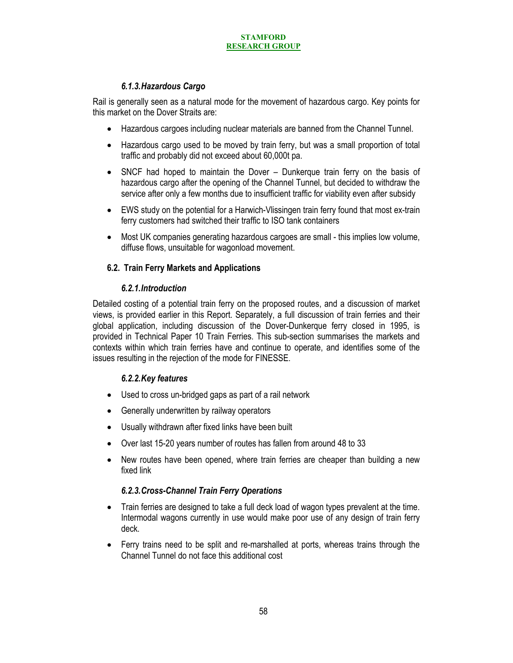# *6.1.3.Hazardous Cargo*

Rail is generally seen as a natural mode for the movement of hazardous cargo. Key points for this market on the Dover Straits are:

- Hazardous cargoes including nuclear materials are banned from the Channel Tunnel.
- Hazardous cargo used to be moved by train ferry, but was a small proportion of total traffic and probably did not exceed about 60,000t pa.
- SNCF had hoped to maintain the Dover Dunkerque train ferry on the basis of hazardous cargo after the opening of the Channel Tunnel, but decided to withdraw the service after only a few months due to insufficient traffic for viability even after subsidy
- EWS study on the potential for a Harwich-Vlissingen train ferry found that most ex-train ferry customers had switched their traffic to ISO tank containers
- Most UK companies generating hazardous cargoes are small this implies low volume, diffuse flows, unsuitable for wagonload movement.

# **6.2. Train Ferry Markets and Applications**

# *6.2.1.Introduction*

Detailed costing of a potential train ferry on the proposed routes, and a discussion of market views, is provided earlier in this Report. Separately, a full discussion of train ferries and their global application, including discussion of the Dover-Dunkerque ferry closed in 1995, is provided in Technical Paper 10 Train Ferries. This sub-section summarises the markets and contexts within which train ferries have and continue to operate, and identifies some of the issues resulting in the rejection of the mode for FINESSE.

# *6.2.2.Key features*

- Used to cross un-bridged gaps as part of a rail network
- Generally underwritten by railway operators
- Usually withdrawn after fixed links have been built
- Over last 15-20 years number of routes has fallen from around 48 to 33
- New routes have been opened, where train ferries are cheaper than building a new fixed link

# *6.2.3.Cross-Channel Train Ferry Operations*

- Train ferries are designed to take a full deck load of wagon types prevalent at the time. Intermodal wagons currently in use would make poor use of any design of train ferry deck.
- Ferry trains need to be split and re-marshalled at ports, whereas trains through the Channel Tunnel do not face this additional cost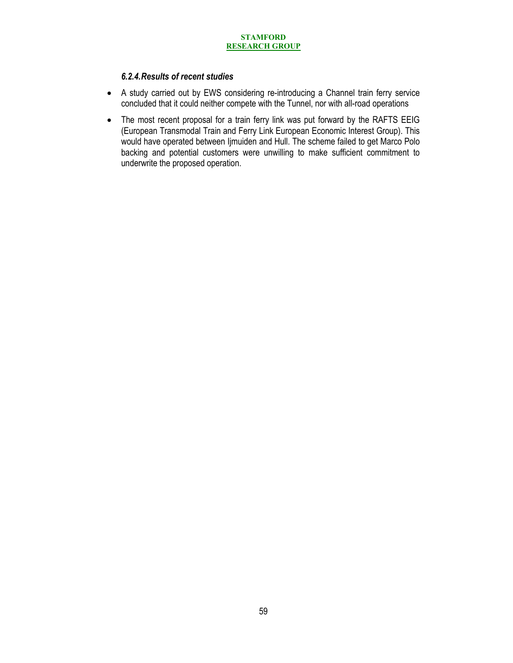# *6.2.4.Results of recent studies*

- A study carried out by EWS considering re-introducing a Channel train ferry service concluded that it could neither compete with the Tunnel, nor with all-road operations
- The most recent proposal for a train ferry link was put forward by the RAFTS EEIG (European Transmodal Train and Ferry Link European Economic Interest Group). This would have operated between Ijmuiden and Hull. The scheme failed to get Marco Polo backing and potential customers were unwilling to make sufficient commitment to underwrite the proposed operation.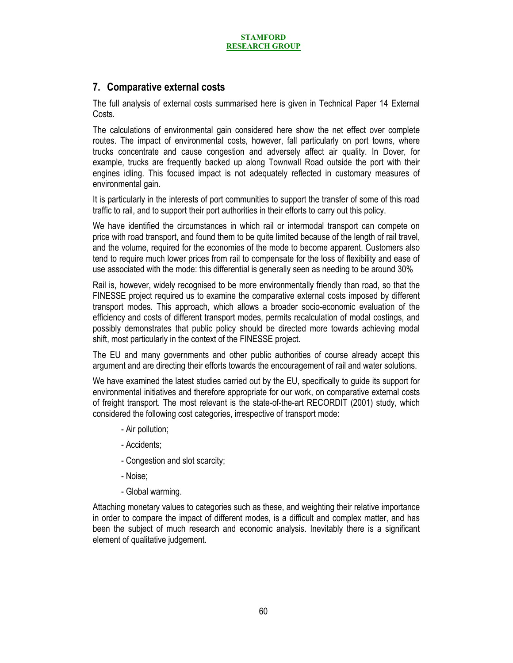# **7. Comparative external costs**

The full analysis of external costs summarised here is given in Technical Paper 14 External Costs.

The calculations of environmental gain considered here show the net effect over complete routes. The impact of environmental costs, however, fall particularly on port towns, where trucks concentrate and cause congestion and adversely affect air quality. In Dover, for example, trucks are frequently backed up along Townwall Road outside the port with their engines idling. This focused impact is not adequately reflected in customary measures of environmental gain.

It is particularly in the interests of port communities to support the transfer of some of this road traffic to rail, and to support their port authorities in their efforts to carry out this policy.

We have identified the circumstances in which rail or intermodal transport can compete on price with road transport, and found them to be quite limited because of the length of rail travel, and the volume, required for the economies of the mode to become apparent. Customers also tend to require much lower prices from rail to compensate for the loss of flexibility and ease of use associated with the mode: this differential is generally seen as needing to be around 30%

Rail is, however, widely recognised to be more environmentally friendly than road, so that the FINESSE project required us to examine the comparative external costs imposed by different transport modes. This approach, which allows a broader socio-economic evaluation of the efficiency and costs of different transport modes, permits recalculation of modal costings, and possibly demonstrates that public policy should be directed more towards achieving modal shift, most particularly in the context of the FINESSE project.

The EU and many governments and other public authorities of course already accept this argument and are directing their efforts towards the encouragement of rail and water solutions.

We have examined the latest studies carried out by the EU, specifically to guide its support for environmental initiatives and therefore appropriate for our work, on comparative external costs of freight transport. The most relevant is the state-of-the-art RECORDIT (2001) study, which considered the following cost categories, irrespective of transport mode:

- Air pollution;
- Accidents;
- Congestion and slot scarcity;
- Noise;
- Global warming.

Attaching monetary values to categories such as these, and weighting their relative importance in order to compare the impact of different modes, is a difficult and complex matter, and has been the subject of much research and economic analysis. Inevitably there is a significant element of qualitative judgement.